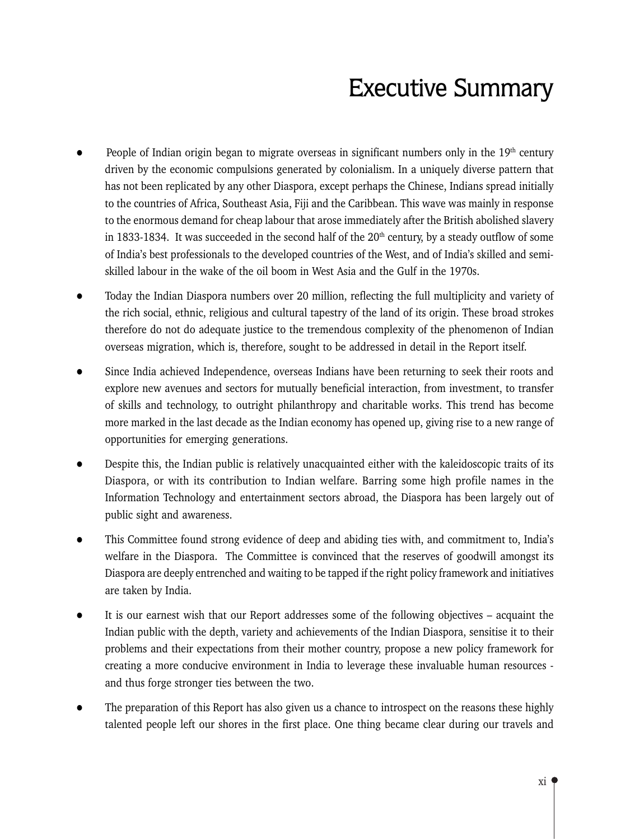# **Executive Summary**

- People of Indian origin began to migrate overseas in significant numbers only in the 19<sup>th</sup> century driven by the economic compulsions generated by colonialism. In a uniquely diverse pattern that has not been replicated by any other Diaspora, except perhaps the Chinese, Indians spread initially to the countries of Africa, Southeast Asia, Fiji and the Caribbean. This wave was mainly in response to the enormous demand for cheap labour that arose immediately after the British abolished slavery in 1833-1834. It was succeeded in the second half of the 20<sup>th</sup> century, by a steady outflow of some of India's best professionals to the developed countries of the West, and of India's skilled and semiskilled labour in the wake of the oil boom in West Asia and the Gulf in the 1970s.
- Today the Indian Diaspora numbers over 20 million, reflecting the full multiplicity and variety of the rich social, ethnic, religious and cultural tapestry of the land of its origin. These broad strokes therefore do not do adequate justice to the tremendous complexity of the phenomenon of Indian overseas migration, which is, therefore, sought to be addressed in detail in the Report itself.
- Since India achieved Independence, overseas Indians have been returning to seek their roots and explore new avenues and sectors for mutually beneficial interaction, from investment, to transfer of skills and technology, to outright philanthropy and charitable works. This trend has become more marked in the last decade as the Indian economy has opened up, giving rise to a new range of opportunities for emerging generations.
- Despite this, the Indian public is relatively unacquainted either with the kaleidoscopic traits of its  $\bullet$ Diaspora, or with its contribution to Indian welfare. Barring some high profile names in the Information Technology and entertainment sectors abroad, the Diaspora has been largely out of public sight and awareness.
- This Committee found strong evidence of deep and abiding ties with, and commitment to, India's welfare in the Diaspora. The Committee is convinced that the reserves of goodwill amongst its Diaspora are deeply entrenched and waiting to be tapped if the right policy framework and initiatives are taken by India.
- It is our earnest wish that our Report addresses some of the following objectives acquaint the  $\bullet$ Indian public with the depth, variety and achievements of the Indian Diaspora, sensitise it to their problems and their expectations from their mother country, propose a new policy framework for creating a more conducive environment in India to leverage these invaluable human resources and thus forge stronger ties between the two.
- The preparation of this Report has also given us a chance to introspect on the reasons these highly talented people left our shores in the first place. One thing became clear during our travels and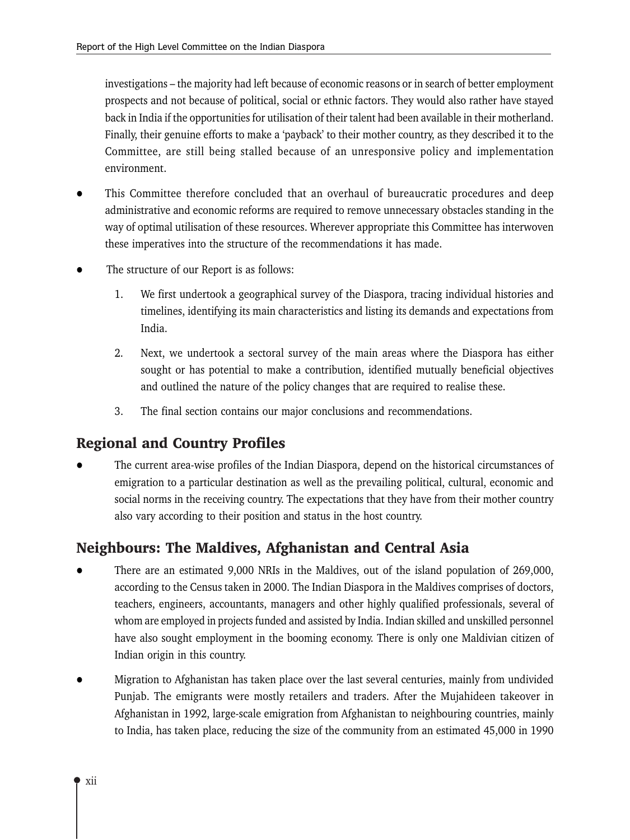investigations – the majority had left because of economic reasons or in search of better employment prospects and not because of political, social or ethnic factors. They would also rather have stayed back in India if the opportunities for utilisation of their talent had been available in their motherland. Finally, their genuine efforts to make a 'payback' to their mother country, as they described it to the Committee, are still being stalled because of an unresponsive policy and implementation environment.

- This Committee therefore concluded that an overhaul of bureaucratic procedures and deep administrative and economic reforms are required to remove unnecessary obstacles standing in the way of optimal utilisation of these resources. Wherever appropriate this Committee has interwoven these imperatives into the structure of the recommendations it has made.
- The structure of our Report is as follows:
	- 1. We first undertook a geographical survey of the Diaspora, tracing individual histories and timelines, identifying its main characteristics and listing its demands and expectations from India.
	- $2.$ Next, we undertook a sectoral survey of the main areas where the Diaspora has either sought or has potential to make a contribution, identified mutually beneficial objectives and outlined the nature of the policy changes that are required to realise these.
	- 3. The final section contains our major conclusions and recommendations.

# **Regional and Country Profiles**

The current area-wise profiles of the Indian Diaspora, depend on the historical circumstances of emigration to a particular destination as well as the prevailing political, cultural, economic and social norms in the receiving country. The expectations that they have from their mother country also vary according to their position and status in the host country.

# Neighbours: The Maldives, Afghanistan and Central Asia

- There are an estimated 9,000 NRIs in the Maldives, out of the island population of 269,000, according to the Census taken in 2000. The Indian Diaspora in the Maldives comprises of doctors, teachers, engineers, accountants, managers and other highly qualified professionals, several of whom are employed in projects funded and assisted by India. Indian skilled and unskilled personnel have also sought employment in the booming economy. There is only one Maldivian citizen of Indian origin in this country.
- Migration to Afghanistan has taken place over the last several centuries, mainly from undivided Punjab. The emigrants were mostly retailers and traders. After the Mujahideen takeover in Afghanistan in 1992, large-scale emigration from Afghanistan to neighbouring countries, mainly to India, has taken place, reducing the size of the community from an estimated 45,000 in 1990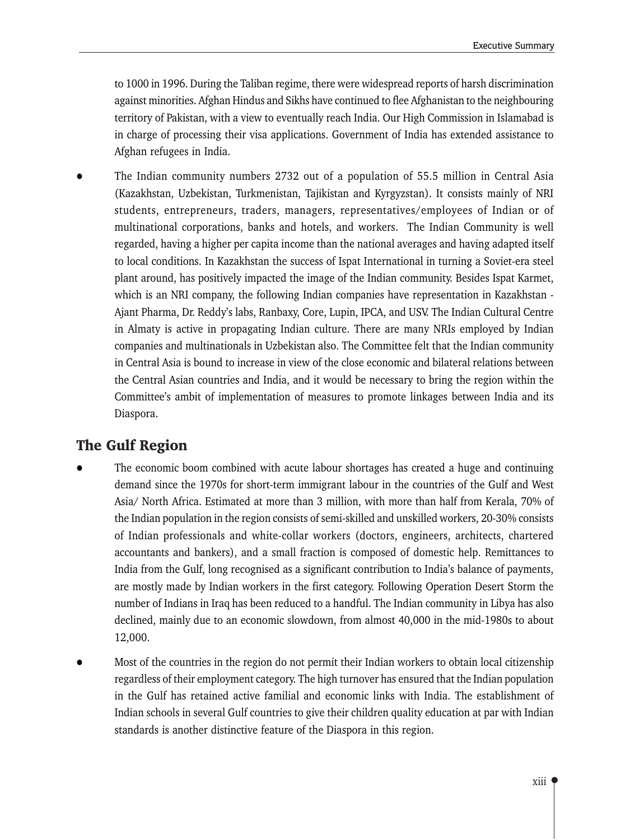to 1000 in 1996. During the Taliban regime, there were widespread reports of harsh discrimination against minorities. Afghan Hindus and Sikhs have continued to flee Afghanistan to the neighbouring territory of Pakistan, with a view to eventually reach India. Our High Commission in Islamabad is in charge of processing their visa applications. Government of India has extended assistance to Afghan refugees in India.

The Indian community numbers 2732 out of a population of 55.5 million in Central Asia (Kazakhstan, Uzbekistan, Turkmenistan, Tajikistan and Kyrgyzstan). It consists mainly of NRI students, entrepreneurs, traders, managers, representatives/employees of Indian or of multinational corporations, banks and hotels, and workers. The Indian Community is well regarded, having a higher per capita income than the national averages and having adapted itself to local conditions. In Kazakhstan the success of Ispat International in turning a Soviet-era steel plant around, has positively impacted the image of the Indian community. Besides Ispat Karmet, which is an NRI company, the following Indian companies have representation in Kazakhstan -Ajant Pharma, Dr. Reddy's labs, Ranbaxy, Core, Lupin, IPCA, and USV. The Indian Cultural Centre in Almaty is active in propagating Indian culture. There are many NRIs employed by Indian companies and multinationals in Uzbekistan also. The Committee felt that the Indian community in Central Asia is bound to increase in view of the close economic and bilateral relations between the Central Asian countries and India, and it would be necessary to bring the region within the Committee's ambit of implementation of measures to promote linkages between India and its Diaspora.

# **The Gulf Region**

- The economic boom combined with acute labour shortages has created a huge and continuing demand since the 1970s for short-term immigrant labour in the countries of the Gulf and West Asia/ North Africa. Estimated at more than 3 million, with more than half from Kerala, 70% of the Indian population in the region consists of semi-skilled and unskilled workers, 20-30% consists of Indian professionals and white-collar workers (doctors, engineers, architects, chartered accountants and bankers), and a small fraction is composed of domestic help. Remittances to India from the Gulf, long recognised as a significant contribution to India's balance of payments, are mostly made by Indian workers in the first category. Following Operation Desert Storm the number of Indians in Iraq has been reduced to a handful. The Indian community in Libya has also declined, mainly due to an economic slowdown, from almost 40,000 in the mid-1980s to about 12,000.
- Most of the countries in the region do not permit their Indian workers to obtain local citizenship regardless of their employment category. The high turnover has ensured that the Indian population in the Gulf has retained active familial and economic links with India. The establishment of Indian schools in several Gulf countries to give their children quality education at par with Indian standards is another distinctive feature of the Diaspora in this region.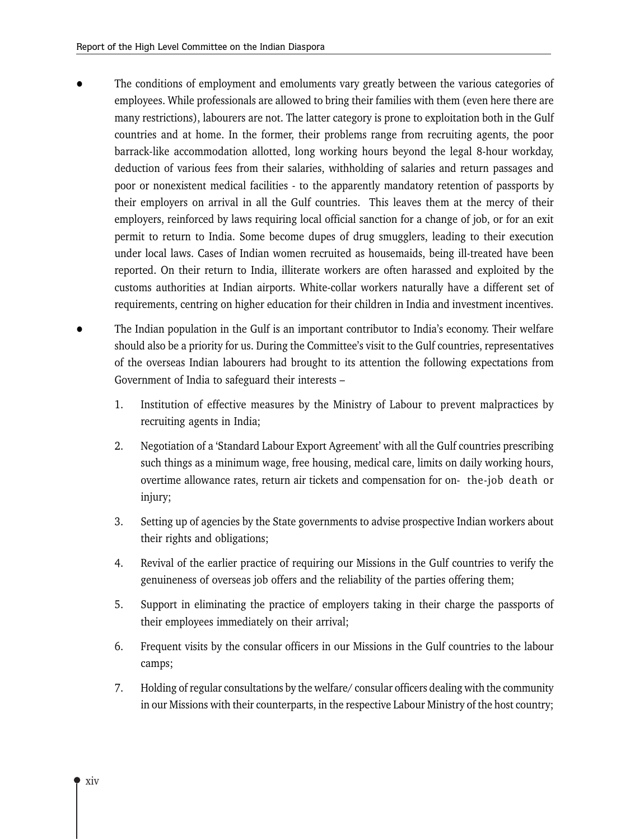- The conditions of employment and emoluments vary greatly between the various categories of employees. While professionals are allowed to bring their families with them (even here there are many restrictions), labourers are not. The latter category is prone to exploitation both in the Gulf countries and at home. In the former, their problems range from recruiting agents, the poor barrack-like accommodation allotted, long working hours beyond the legal 8-hour workday, deduction of various fees from their salaries, withholding of salaries and return passages and poor or nonexistent medical facilities - to the apparently mandatory retention of passports by their employers on arrival in all the Gulf countries. This leaves them at the mercy of their employers, reinforced by laws requiring local official sanction for a change of job, or for an exit permit to return to India. Some become dupes of drug smugglers, leading to their execution under local laws. Cases of Indian women recruited as housemaids, being ill-treated have been reported. On their return to India, illiterate workers are often harassed and exploited by the customs authorities at Indian airports. White-collar workers naturally have a different set of requirements, centring on higher education for their children in India and investment incentives.
- The Indian population in the Gulf is an important contributor to India's economy. Their welfare should also be a priority for us. During the Committee's visit to the Gulf countries, representatives of the overseas Indian labourers had brought to its attention the following expectations from Government of India to safeguard their interests -
	- 1. Institution of effective measures by the Ministry of Labour to prevent malpractices by recruiting agents in India;
	- Negotiation of a 'Standard Labour Export Agreement' with all the Gulf countries prescribing  $2.$ such things as a minimum wage, free housing, medical care, limits on daily working hours, overtime allowance rates, return air tickets and compensation for on- the-job death or injury;
	- 3. Setting up of agencies by the State governments to advise prospective Indian workers about their rights and obligations;
	- 4. Revival of the earlier practice of requiring our Missions in the Gulf countries to verify the genuineness of overseas job offers and the reliability of the parties offering them;
	- 5. Support in eliminating the practice of employers taking in their charge the passports of their employees immediately on their arrival;
	- 6. Frequent visits by the consular officers in our Missions in the Gulf countries to the labour camps;
	- 7. Holding of regular consultations by the welfare/consular officers dealing with the community in our Missions with their counterparts, in the respective Labour Ministry of the host country;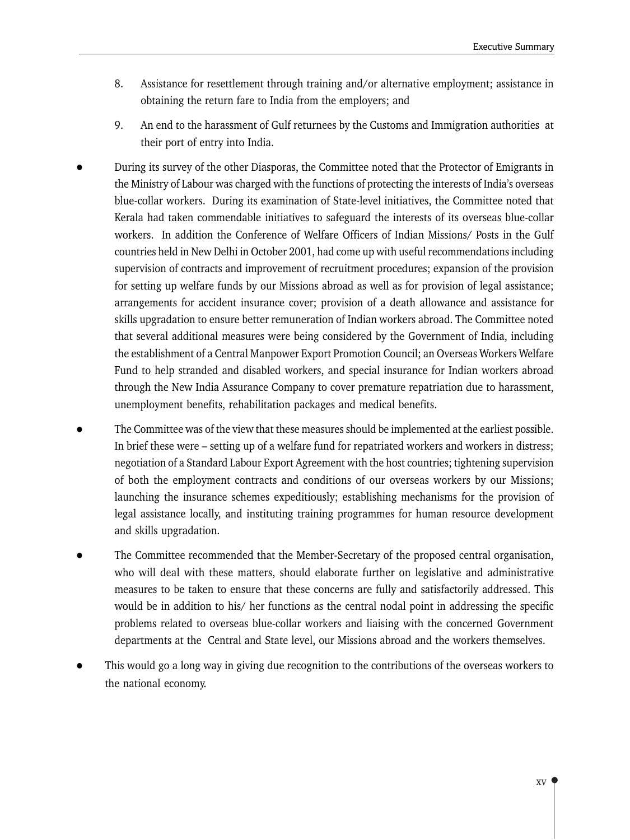- 8. Assistance for resettlement through training and/or alternative employment; assistance in obtaining the return fare to India from the employers; and
- 9. An end to the harassment of Gulf returnees by the Customs and Immigration authorities at their port of entry into India.
- During its survey of the other Diasporas, the Committee noted that the Protector of Emigrants in the Ministry of Labour was charged with the functions of protecting the interests of India's overseas blue-collar workers. During its examination of State-level initiatives, the Committee noted that Kerala had taken commendable initiatives to safeguard the interests of its overseas blue-collar workers. In addition the Conference of Welfare Officers of Indian Missions/ Posts in the Gulf countries held in New Delhi in October 2001, had come up with useful recommendations including supervision of contracts and improvement of recruitment procedures; expansion of the provision for setting up welfare funds by our Missions abroad as well as for provision of legal assistance; arrangements for accident insurance cover; provision of a death allowance and assistance for skills upgradation to ensure better remuneration of Indian workers abroad. The Committee noted that several additional measures were being considered by the Government of India, including the establishment of a Central Manpower Export Promotion Council; an Overseas Workers Welfare Fund to help stranded and disabled workers, and special insurance for Indian workers abroad through the New India Assurance Company to cover premature repatriation due to harassment, unemployment benefits, rehabilitation packages and medical benefits.
- The Committee was of the view that these measures should be implemented at the earliest possible. In brief these were – setting up of a welfare fund for repatriated workers and workers in distress; negotiation of a Standard Labour Export Agreement with the host countries; tightening supervision of both the employment contracts and conditions of our overseas workers by our Missions; launching the insurance schemes expeditiously; establishing mechanisms for the provision of legal assistance locally, and instituting training programmes for human resource development and skills upgradation.
- The Committee recommended that the Member-Secretary of the proposed central organisation, who will deal with these matters, should elaborate further on legislative and administrative measures to be taken to ensure that these concerns are fully and satisfactorily addressed. This would be in addition to his/ her functions as the central nodal point in addressing the specific problems related to overseas blue-collar workers and liaising with the concerned Government departments at the Central and State level, our Missions abroad and the workers themselves.
- This would go a long way in giving due recognition to the contributions of the overseas workers to the national economy.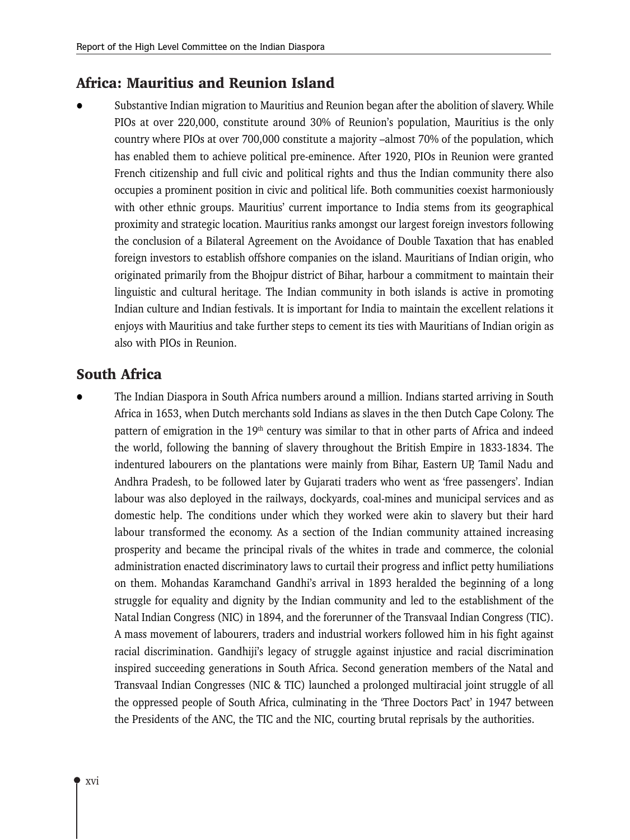### Africa: Mauritius and Reunion Island

Substantive Indian migration to Mauritius and Reunion began after the abolition of slavery. While PIOs at over 220,000, constitute around 30% of Reunion's population, Mauritius is the only country where PIOs at over 700,000 constitute a majority -almost 70% of the population, which has enabled them to achieve political pre-eminence. After 1920, PIOs in Reunion were granted French citizenship and full civic and political rights and thus the Indian community there also occupies a prominent position in civic and political life. Both communities coexist harmoniously with other ethnic groups. Mauritius' current importance to India stems from its geographical proximity and strategic location. Mauritius ranks amongst our largest foreign investors following the conclusion of a Bilateral Agreement on the Avoidance of Double Taxation that has enabled foreign investors to establish offshore companies on the island. Mauritians of Indian origin, who originated primarily from the Bhojpur district of Bihar, harbour a commitment to maintain their linguistic and cultural heritage. The Indian community in both islands is active in promoting Indian culture and Indian festivals. It is important for India to maintain the excellent relations it enjoys with Mauritius and take further steps to cement its ties with Mauritians of Indian origin as also with PIOs in Reunion.

# **South Africa**

The Indian Diaspora in South Africa numbers around a million. Indians started arriving in South Africa in 1653, when Dutch merchants sold Indians as slaves in the then Dutch Cape Colony. The pattern of emigration in the 19<sup>th</sup> century was similar to that in other parts of Africa and indeed the world, following the banning of slavery throughout the British Empire in 1833-1834. The indentured labourers on the plantations were mainly from Bihar, Eastern UP, Tamil Nadu and Andhra Pradesh, to be followed later by Gujarati traders who went as 'free passengers'. Indian labour was also deployed in the railways, dockyards, coal-mines and municipal services and as domestic help. The conditions under which they worked were akin to slavery but their hard labour transformed the economy. As a section of the Indian community attained increasing prosperity and became the principal rivals of the whites in trade and commerce, the colonial administration enacted discriminatory laws to curtail their progress and inflict petty humiliations on them. Mohandas Karamchand Gandhi's arrival in 1893 heralded the beginning of a long struggle for equality and dignity by the Indian community and led to the establishment of the Natal Indian Congress (NIC) in 1894, and the forerunner of the Transvaal Indian Congress (TIC). A mass movement of labourers, traders and industrial workers followed him in his fight against racial discrimination. Gandhiji's legacy of struggle against injustice and racial discrimination inspired succeeding generations in South Africa. Second generation members of the Natal and Transvaal Indian Congresses (NIC & TIC) launched a prolonged multiracial joint struggle of all the oppressed people of South Africa, culminating in the 'Three Doctors Pact' in 1947 between the Presidents of the ANC, the TIC and the NIC, courting brutal reprisals by the authorities.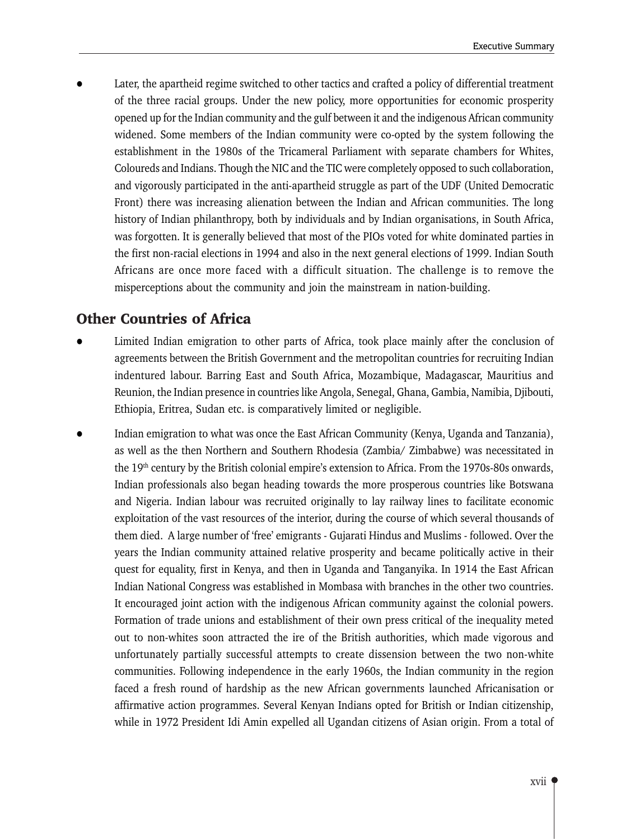Later, the apartheid regime switched to other tactics and crafted a policy of differential treatment of the three racial groups. Under the new policy, more opportunities for economic prosperity opened up for the Indian community and the gulf between it and the indigenous African community widened. Some members of the Indian community were co-opted by the system following the establishment in the 1980s of the Tricameral Parliament with separate chambers for Whites, Coloureds and Indians. Though the NIC and the TIC were completely opposed to such collaboration, and vigorously participated in the anti-apartheid struggle as part of the UDF (United Democratic Front) there was increasing alienation between the Indian and African communities. The long history of Indian philanthropy, both by individuals and by Indian organisations, in South Africa, was forgotten. It is generally believed that most of the PIOs voted for white dominated parties in the first non-racial elections in 1994 and also in the next general elections of 1999. Indian South Africans are once more faced with a difficult situation. The challenge is to remove the misperceptions about the community and join the mainstream in nation-building.

### **Other Countries of Africa**

- Limited Indian emigration to other parts of Africa, took place mainly after the conclusion of agreements between the British Government and the metropolitan countries for recruiting Indian indentured labour. Barring East and South Africa, Mozambique, Madagascar, Mauritius and Reunion, the Indian presence in countries like Angola, Senegal, Ghana, Gambia, Namibia, Djibouti, Ethiopia, Eritrea, Sudan etc. is comparatively limited or negligible.
- Indian emigration to what was once the East African Community (Kenya, Uganda and Tanzania), as well as the then Northern and Southern Rhodesia (Zambia/ Zimbabwe) was necessitated in the 19<sup>th</sup> century by the British colonial empire's extension to Africa. From the 1970s-80s onwards, Indian professionals also began heading towards the more prosperous countries like Botswana and Nigeria. Indian labour was recruited originally to lay railway lines to facilitate economic exploitation of the vast resources of the interior, during the course of which several thousands of them died. A large number of 'free' emigrants - Gujarati Hindus and Muslims - followed. Over the years the Indian community attained relative prosperity and became politically active in their quest for equality, first in Kenya, and then in Uganda and Tanganyika. In 1914 the East African Indian National Congress was established in Mombasa with branches in the other two countries. It encouraged joint action with the indigenous African community against the colonial powers. Formation of trade unions and establishment of their own press critical of the inequality meted out to non-whites soon attracted the ire of the British authorities, which made vigorous and unfortunately partially successful attempts to create dissension between the two non-white communities. Following independence in the early 1960s, the Indian community in the region faced a fresh round of hardship as the new African governments launched Africanisation or affirmative action programmes. Several Kenyan Indians opted for British or Indian citizenship, while in 1972 President Idi Amin expelled all Ugandan citizens of Asian origin. From a total of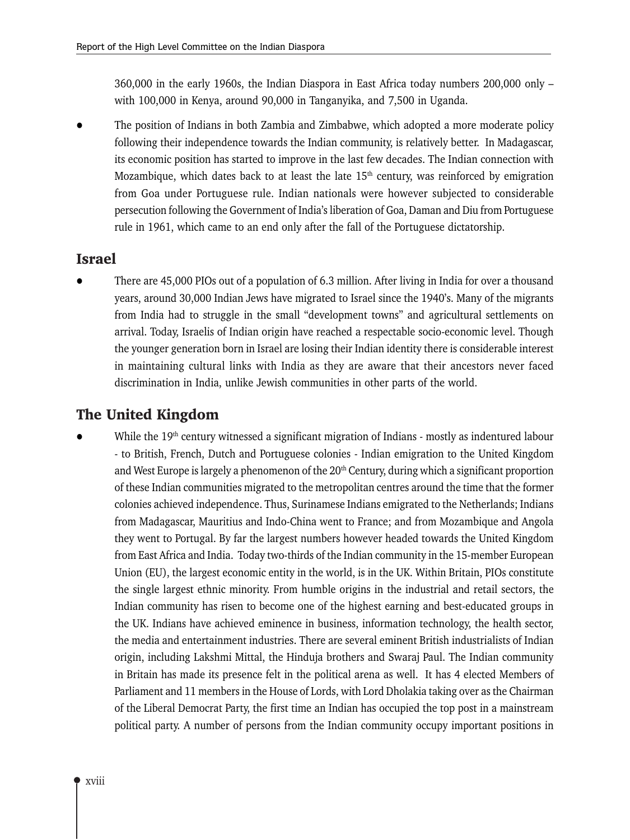360,000 in the early 1960s, the Indian Diaspora in East Africa today numbers 200,000 only  $$ with 100,000 in Kenya, around 90,000 in Tanganyika, and 7,500 in Uganda.

The position of Indians in both Zambia and Zimbabwe, which adopted a more moderate policy following their independence towards the Indian community, is relatively better. In Madagascar, its economic position has started to improve in the last few decades. The Indian connection with Mozambique, which dates back to at least the late  $15<sup>th</sup>$  century, was reinforced by emigration from Goa under Portuguese rule. Indian nationals were however subjected to considerable persecution following the Government of India's liberation of Goa, Daman and Diu from Portuguese rule in 1961, which came to an end only after the fall of the Portuguese dictatorship.

### **Israel**

There are 45,000 PIOs out of a population of 6.3 million. After living in India for over a thousand years, around 30,000 Indian Jews have migrated to Israel since the 1940's. Many of the migrants from India had to struggle in the small "development towns" and agricultural settlements on arrival. Today, Israelis of Indian origin have reached a respectable socio-economic level. Though the younger generation born in Israel are losing their Indian identity there is considerable interest in maintaining cultural links with India as they are aware that their ancestors never faced discrimination in India, unlike Jewish communities in other parts of the world.

### The United Kingdom

While the 19<sup>th</sup> century witnessed a significant migration of Indians - mostly as indentured labour - to British, French, Dutch and Portuguese colonies - Indian emigration to the United Kingdom and West Europe is largely a phenomenon of the  $20<sup>th</sup>$  Century, during which a significant proportion of these Indian communities migrated to the metropolitan centres around the time that the former colonies achieved independence. Thus, Surinamese Indians emigrated to the Netherlands; Indians from Madagascar, Mauritius and Indo-China went to France; and from Mozambique and Angola they went to Portugal. By far the largest numbers however headed towards the United Kingdom from East Africa and India. Today two-thirds of the Indian community in the 15-member European Union (EU), the largest economic entity in the world, is in the UK. Within Britain, PIOs constitute the single largest ethnic minority. From humble origins in the industrial and retail sectors, the Indian community has risen to become one of the highest earning and best-educated groups in the UK. Indians have achieved eminence in business, information technology, the health sector, the media and entertainment industries. There are several eminent British industrialists of Indian origin, including Lakshmi Mittal, the Hinduja brothers and Swaraj Paul. The Indian community in Britain has made its presence felt in the political arena as well. It has 4 elected Members of Parliament and 11 members in the House of Lords, with Lord Dholakia taking over as the Chairman of the Liberal Democrat Party, the first time an Indian has occupied the top post in a mainstream political party. A number of persons from the Indian community occupy important positions in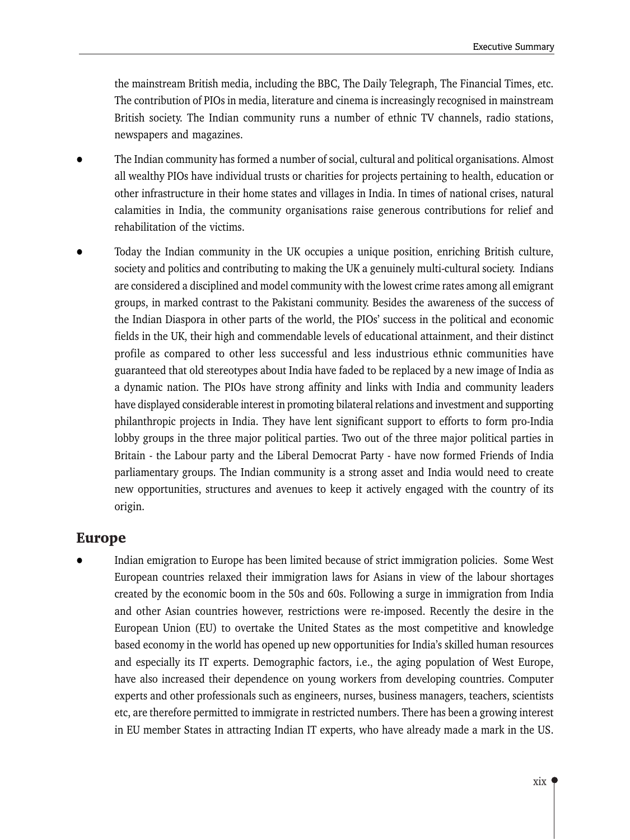the mainstream British media, including the BBC, The Daily Telegraph, The Financial Times, etc. The contribution of PIOs in media, literature and cinema is increasingly recognised in mainstream British society. The Indian community runs a number of ethnic TV channels, radio stations, newspapers and magazines.

- The Indian community has formed a number of social, cultural and political organisations. Almost all wealthy PIOs have individual trusts or charities for projects pertaining to health, education or other infrastructure in their home states and villages in India. In times of national crises, natural calamities in India, the community organisations raise generous contributions for relief and rehabilitation of the victims.
- Today the Indian community in the UK occupies a unique position, enriching British culture, society and politics and contributing to making the UK a genuinely multi-cultural society. Indians are considered a disciplined and model community with the lowest crime rates among all emigrant groups, in marked contrast to the Pakistani community. Besides the awareness of the success of the Indian Diaspora in other parts of the world, the PIOs' success in the political and economic fields in the UK, their high and commendable levels of educational attainment, and their distinct profile as compared to other less successful and less industrious ethnic communities have guaranteed that old stereotypes about India have faded to be replaced by a new image of India as a dynamic nation. The PIOs have strong affinity and links with India and community leaders have displayed considerable interest in promoting bilateral relations and investment and supporting philanthropic projects in India. They have lent significant support to efforts to form pro-India lobby groups in the three major political parties. Two out of the three major political parties in Britain - the Labour party and the Liberal Democrat Party - have now formed Friends of India parliamentary groups. The Indian community is a strong asset and India would need to create new opportunities, structures and avenues to keep it actively engaged with the country of its origin.

### **Europe**

Indian emigration to Europe has been limited because of strict immigration policies. Some West European countries relaxed their immigration laws for Asians in view of the labour shortages created by the economic boom in the 50s and 60s. Following a surge in immigration from India and other Asian countries however, restrictions were re-imposed. Recently the desire in the European Union (EU) to overtake the United States as the most competitive and knowledge based economy in the world has opened up new opportunities for India's skilled human resources and especially its IT experts. Demographic factors, i.e., the aging population of West Europe, have also increased their dependence on young workers from developing countries. Computer experts and other professionals such as engineers, nurses, business managers, teachers, scientists etc, are therefore permitted to immigrate in restricted numbers. There has been a growing interest in EU member States in attracting Indian IT experts, who have already made a mark in the US.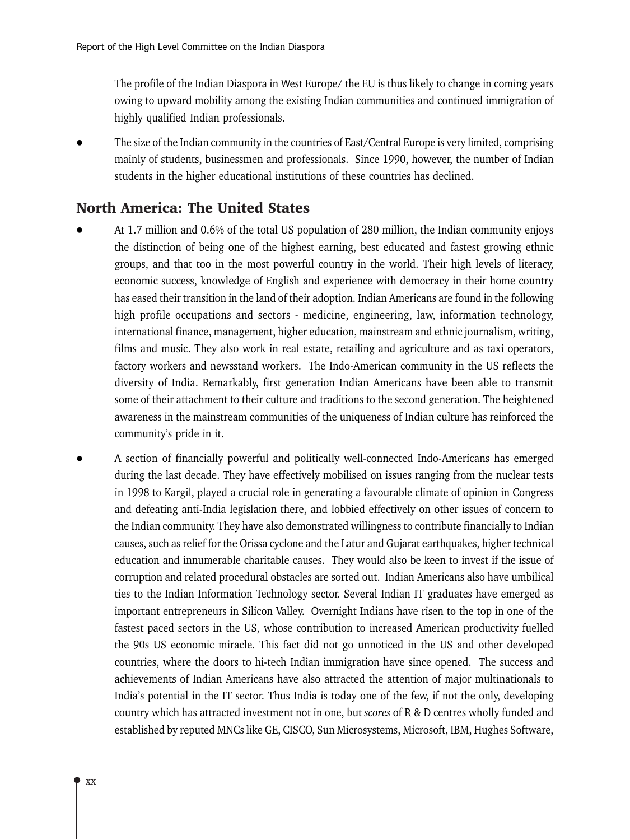The profile of the Indian Diaspora in West Europe/ the EU is thus likely to change in coming years owing to upward mobility among the existing Indian communities and continued immigration of highly qualified Indian professionals.

The size of the Indian community in the countries of East/Central Europe is very limited, comprising mainly of students, businessmen and professionals. Since 1990, however, the number of Indian students in the higher educational institutions of these countries has declined.

### **North America: The United States**

- At 1.7 million and 0.6% of the total US population of 280 million, the Indian community enjoys the distinction of being one of the highest earning, best educated and fastest growing ethnic groups, and that too in the most powerful country in the world. Their high levels of literacy, economic success, knowledge of English and experience with democracy in their home country has eased their transition in the land of their adoption. Indian Americans are found in the following high profile occupations and sectors - medicine, engineering, law, information technology, international finance, management, higher education, mainstream and ethnic journalism, writing, films and music. They also work in real estate, retailing and agriculture and as taxi operators, factory workers and newsstand workers. The Indo-American community in the US reflects the diversity of India. Remarkably, first generation Indian Americans have been able to transmit some of their attachment to their culture and traditions to the second generation. The heightened awareness in the mainstream communities of the uniqueness of Indian culture has reinforced the community's pride in it.
- A section of financially powerful and politically well-connected Indo-Americans has emerged during the last decade. They have effectively mobilised on issues ranging from the nuclear tests in 1998 to Kargil, played a crucial role in generating a favourable climate of opinion in Congress and defeating anti-India legislation there, and lobbied effectively on other issues of concern to the Indian community. They have also demonstrated willingness to contribute financially to Indian causes, such as relief for the Orissa cyclone and the Latur and Gujarat earthquakes, higher technical education and innumerable charitable causes. They would also be keen to invest if the issue of corruption and related procedural obstacles are sorted out. Indian Americans also have umbilical ties to the Indian Information Technology sector. Several Indian IT graduates have emerged as important entrepreneurs in Silicon Valley. Overnight Indians have risen to the top in one of the fastest paced sectors in the US, whose contribution to increased American productivity fuelled the 90s US economic miracle. This fact did not go unnoticed in the US and other developed countries, where the doors to hi-tech Indian immigration have since opened. The success and achievements of Indian Americans have also attracted the attention of major multinationals to India's potential in the IT sector. Thus India is today one of the few, if not the only, developing country which has attracted investment not in one, but *scores* of R & D centres wholly funded and established by reputed MNCs like GE, CISCO, Sun Microsystems, Microsoft, IBM, Hughes Software,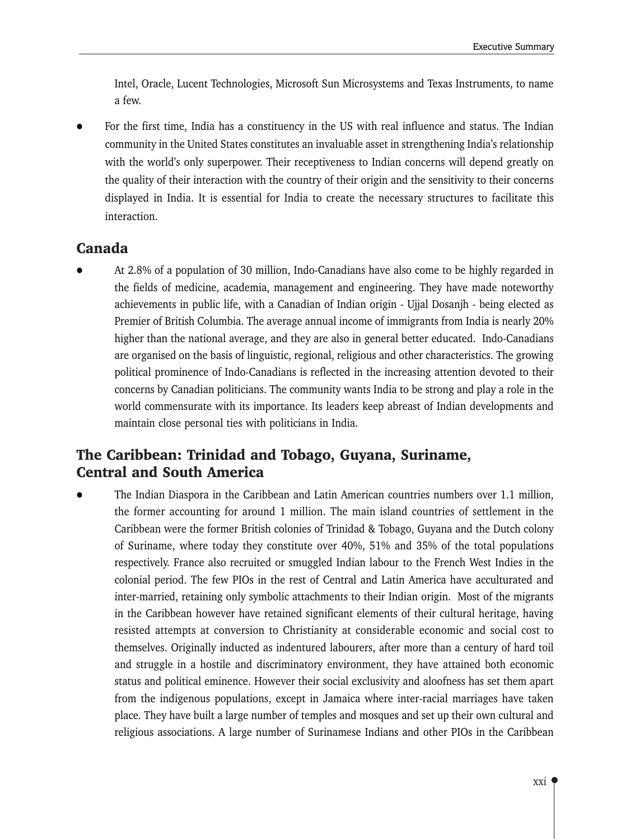Intel, Oracle, Lucent Technologies, Microsoft Sun Microsystems and Texas Instruments, to name a few.

For the first time, India has a constituency in the US with real influence and status. The Indian community in the United States constitutes an invaluable asset in strengthening India's relationship with the world's only superpower. Their receptiveness to Indian concerns will depend greatly on the quality of their interaction with the country of their origin and the sensitivity to their concerns displayed in India. It is essential for India to create the necessary structures to facilitate this interaction.

### Canada

At 2.8% of a population of 30 million, Indo-Canadians have also come to be highly regarded in the fields of medicine, academia, management and engineering. They have made noteworthy achievements in public life, with a Canadian of Indian origin - Ujjal Dosanjh - being elected as Premier of British Columbia. The average annual income of immigrants from India is nearly 20% higher than the national average, and they are also in general better educated. Indo-Canadians are organised on the basis of linguistic, regional, religious and other characteristics. The growing political prominence of Indo-Canadians is reflected in the increasing attention devoted to their concerns by Canadian politicians. The community wants India to be strong and play a role in the world commensurate with its importance. Its leaders keep abreast of Indian developments and maintain close personal ties with politicians in India.

# The Caribbean: Trinidad and Tobago, Guyana, Suriname, **Central and South America**

The Indian Diaspora in the Caribbean and Latin American countries numbers over 1.1 million, the former accounting for around 1 million. The main island countries of settlement in the Caribbean were the former British colonies of Trinidad & Tobago, Guyana and the Dutch colony of Suriname, where today they constitute over 40%, 51% and 35% of the total populations respectively. France also recruited or smuggled Indian labour to the French West Indies in the colonial period. The few PIOs in the rest of Central and Latin America have acculturated and inter-married, retaining only symbolic attachments to their Indian origin. Most of the migrants in the Caribbean however have retained significant elements of their cultural heritage, having resisted attempts at conversion to Christianity at considerable economic and social cost to themselves. Originally inducted as indentured labourers, after more than a century of hard toil and struggle in a hostile and discriminatory environment, they have attained both economic status and political eminence. However their social exclusivity and aloofness has set them apart from the indigenous populations, except in Jamaica where inter-racial marriages have taken place. They have built a large number of temples and mosques and set up their own cultural and religious associations. A large number of Surinamese Indians and other PIOs in the Caribbean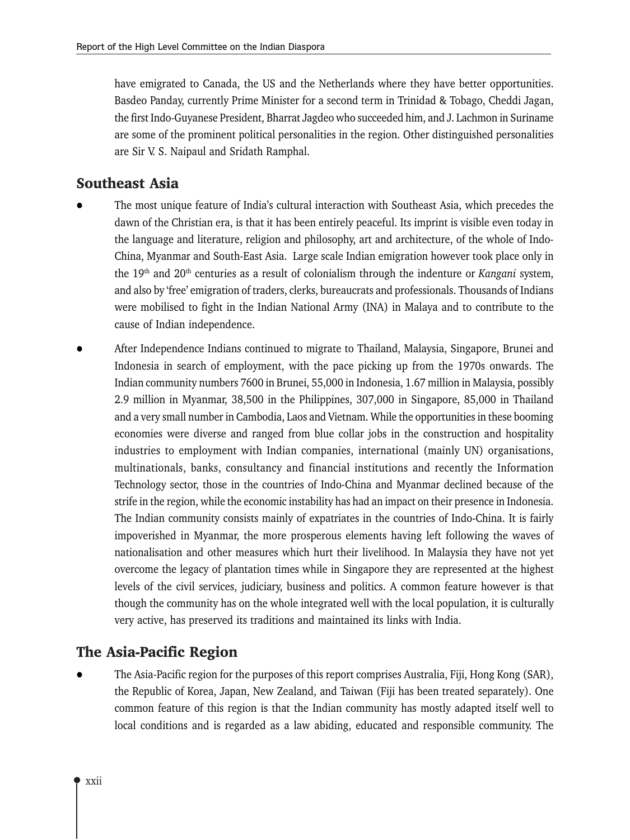have emigrated to Canada, the US and the Netherlands where they have better opportunities. Basdeo Panday, currently Prime Minister for a second term in Trinidad & Tobago, Cheddi Jagan, the first Indo-Guyanese President, Bharrat Jagdeo who succeeded him, and J. Lachmon in Suriname are some of the prominent political personalities in the region. Other distinguished personalities are Sir V. S. Naipaul and Sridath Ramphal.

# **Southeast Asia**

- The most unique feature of India's cultural interaction with Southeast Asia, which precedes the dawn of the Christian era, is that it has been entirely peaceful. Its imprint is visible even today in the language and literature, religion and philosophy, art and architecture, of the whole of Indo-China, Myanmar and South-East Asia. Large scale Indian emigration however took place only in the 19<sup>th</sup> and 20<sup>th</sup> centuries as a result of colonialism through the indenture or Kangani system, and also by 'free' emigration of traders, clerks, bureaucrats and professionals. Thousands of Indians were mobilised to fight in the Indian National Army (INA) in Malaya and to contribute to the cause of Indian independence.
- After Independence Indians continued to migrate to Thailand, Malaysia, Singapore, Brunei and Indonesia in search of employment, with the pace picking up from the 1970s onwards. The Indian community numbers 7600 in Brunei, 55,000 in Indonesia, 1.67 million in Malaysia, possibly 2.9 million in Myanmar, 38,500 in the Philippines, 307,000 in Singapore, 85,000 in Thailand and a very small number in Cambodia, Laos and Vietnam. While the opportunities in these booming economies were diverse and ranged from blue collar jobs in the construction and hospitality industries to employment with Indian companies, international (mainly UN) organisations, multinationals, banks, consultancy and financial institutions and recently the Information Technology sector, those in the countries of Indo-China and Myanmar declined because of the strife in the region, while the economic instability has had an impact on their presence in Indonesia. The Indian community consists mainly of expatriates in the countries of Indo-China. It is fairly impoverished in Myanmar, the more prosperous elements having left following the waves of nationalisation and other measures which hurt their livelihood. In Malaysia they have not yet overcome the legacy of plantation times while in Singapore they are represented at the highest levels of the civil services, judiciary, business and politics. A common feature however is that though the community has on the whole integrated well with the local population, it is culturally very active, has preserved its traditions and maintained its links with India.

# The Asia-Pacific Region

The Asia-Pacific region for the purposes of this report comprises Australia, Fiji, Hong Kong (SAR), the Republic of Korea, Japan, New Zealand, and Taiwan (Fiji has been treated separately). One common feature of this region is that the Indian community has mostly adapted itself well to local conditions and is regarded as a law abiding, educated and responsible community. The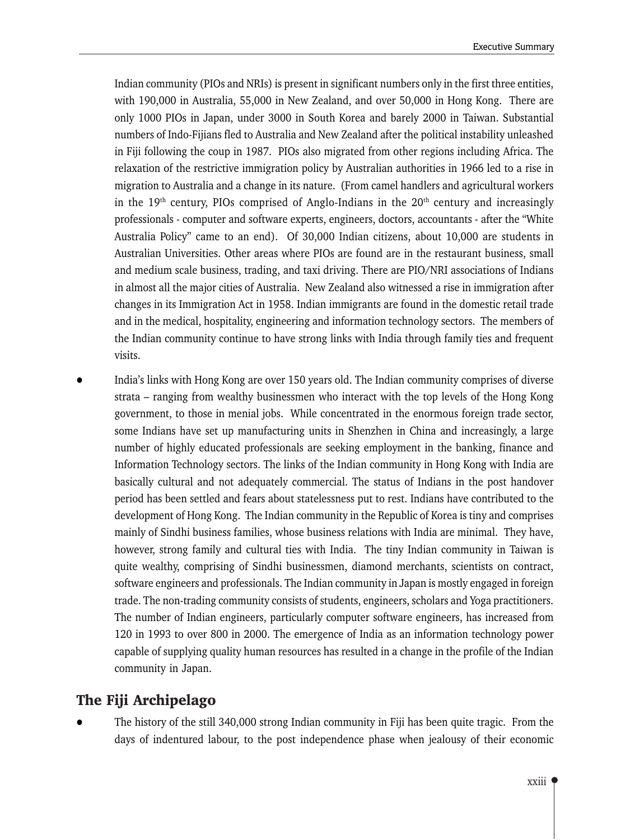Indian community (PIOs and NRIs) is present in significant numbers only in the first three entities, with 190,000 in Australia, 55,000 in New Zealand, and over 50,000 in Hong Kong. There are only 1000 PIOs in Japan, under 3000 in South Korea and barely 2000 in Taiwan. Substantial numbers of Indo-Fijians fled to Australia and New Zealand after the political instability unleashed in Fiji following the coup in 1987. PIOs also migrated from other regions including Africa. The relaxation of the restrictive immigration policy by Australian authorities in 1966 led to a rise in migration to Australia and a change in its nature. (From camel handlers and agricultural workers in the 19<sup>th</sup> century, PIOs comprised of Anglo-Indians in the  $20<sup>th</sup>$  century and increasingly professionals - computer and software experts, engineers, doctors, accountants - after the "White Australia Policy" came to an end). Of 30,000 Indian citizens, about 10,000 are students in Australian Universities. Other areas where PIOs are found are in the restaurant business, small and medium scale business, trading, and taxi driving. There are PIO/NRI associations of Indians in almost all the major cities of Australia. New Zealand also witnessed a rise in immigration after changes in its Immigration Act in 1958. Indian immigrants are found in the domestic retail trade and in the medical, hospitality, engineering and information technology sectors. The members of the Indian community continue to have strong links with India through family ties and frequent visits.

India's links with Hong Kong are over 150 years old. The Indian community comprises of diverse strata – ranging from wealthy businessmen who interact with the top levels of the Hong Kong government, to those in menial jobs. While concentrated in the enormous foreign trade sector, some Indians have set up manufacturing units in Shenzhen in China and increasingly, a large number of highly educated professionals are seeking employment in the banking, finance and Information Technology sectors. The links of the Indian community in Hong Kong with India are basically cultural and not adequately commercial. The status of Indians in the post handover period has been settled and fears about statelessness put to rest. Indians have contributed to the development of Hong Kong. The Indian community in the Republic of Korea is tiny and comprises mainly of Sindhi business families, whose business relations with India are minimal. They have, however, strong family and cultural ties with India. The tiny Indian community in Taiwan is quite wealthy, comprising of Sindhi businessmen, diamond merchants, scientists on contract, software engineers and professionals. The Indian community in Japan is mostly engaged in foreign trade. The non-trading community consists of students, engineers, scholars and Yoga practitioners. The number of Indian engineers, particularly computer software engineers, has increased from 120 in 1993 to over 800 in 2000. The emergence of India as an information technology power capable of supplying quality human resources has resulted in a change in the profile of the Indian community in Japan.

# The Fiji Archipelago

The history of the still 340,000 strong Indian community in Fiji has been quite tragic. From the days of indentured labour, to the post independence phase when jealousy of their economic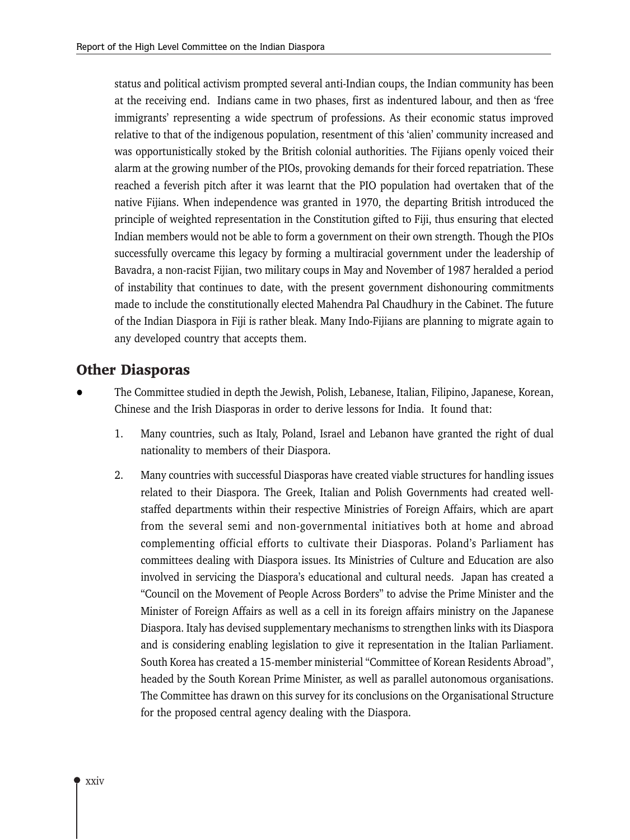status and political activism prompted several anti-Indian coups, the Indian community has been at the receiving end. Indians came in two phases, first as indentured labour, and then as 'free immigrants' representing a wide spectrum of professions. As their economic status improved relative to that of the indigenous population, resentment of this 'alien' community increased and was opportunistically stoked by the British colonial authorities. The Fijians openly voiced their alarm at the growing number of the PIOs, provoking demands for their forced repatriation. These reached a feverish pitch after it was learnt that the PIO population had overtaken that of the native Fijians. When independence was granted in 1970, the departing British introduced the principle of weighted representation in the Constitution gifted to Fiji, thus ensuring that elected Indian members would not be able to form a government on their own strength. Though the PIOs successfully overcame this legacy by forming a multiracial government under the leadership of Bavadra, a non-racist Fijian, two military coups in May and November of 1987 heralded a period of instability that continues to date, with the present government dishonouring commitments made to include the constitutionally elected Mahendra Pal Chaudhury in the Cabinet. The future of the Indian Diaspora in Fiji is rather bleak. Many Indo-Fijians are planning to migrate again to any developed country that accepts them.

### **Other Diasporas**

- The Committee studied in depth the Jewish, Polish, Lebanese, Italian, Filipino, Japanese, Korean, Chinese and the Irish Diasporas in order to derive lessons for India. It found that:
	- 1. Many countries, such as Italy, Poland, Israel and Lebanon have granted the right of dual nationality to members of their Diaspora.
	- $2.$ Many countries with successful Diasporas have created viable structures for handling issues related to their Diaspora. The Greek, Italian and Polish Governments had created wellstaffed departments within their respective Ministries of Foreign Affairs, which are apart from the several semi and non-governmental initiatives both at home and abroad complementing official efforts to cultivate their Diasporas. Poland's Parliament has committees dealing with Diaspora issues. Its Ministries of Culture and Education are also involved in servicing the Diaspora's educational and cultural needs. Japan has created a "Council on the Movement of People Across Borders" to advise the Prime Minister and the Minister of Foreign Affairs as well as a cell in its foreign affairs ministry on the Japanese Diaspora. Italy has devised supplementary mechanisms to strengthen links with its Diaspora and is considering enabling legislation to give it representation in the Italian Parliament. South Korea has created a 15-member ministerial "Committee of Korean Residents Abroad", headed by the South Korean Prime Minister, as well as parallel autonomous organisations. The Committee has drawn on this survey for its conclusions on the Organisational Structure for the proposed central agency dealing with the Diaspora.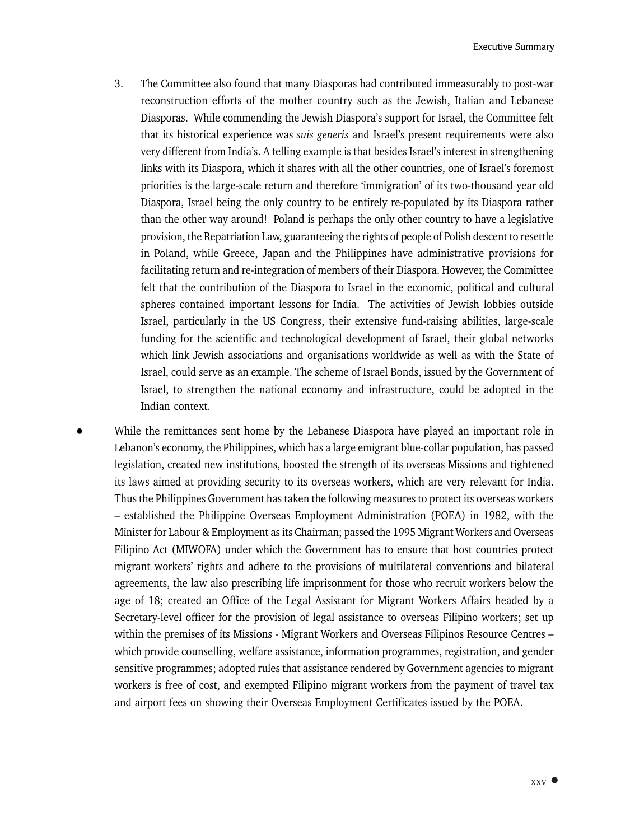- 3. The Committee also found that many Diasporas had contributed immeasurably to post-war reconstruction efforts of the mother country such as the Jewish, Italian and Lebanese Diasporas. While commending the Jewish Diaspora's support for Israel, the Committee felt that its historical experience was suis generis and Israel's present requirements were also very different from India's. A telling example is that besides Israel's interest in strengthening links with its Diaspora, which it shares with all the other countries, one of Israel's foremost priorities is the large-scale return and therefore 'immigration' of its two-thousand year old Diaspora, Israel being the only country to be entirely re-populated by its Diaspora rather than the other way around! Poland is perhaps the only other country to have a legislative provision, the Repatriation Law, guaranteeing the rights of people of Polish descent to resettle in Poland, while Greece, Japan and the Philippines have administrative provisions for facilitating return and re-integration of members of their Diaspora. However, the Committee felt that the contribution of the Diaspora to Israel in the economic, political and cultural spheres contained important lessons for India. The activities of Jewish lobbies outside Israel, particularly in the US Congress, their extensive fund-raising abilities, large-scale funding for the scientific and technological development of Israel, their global networks which link Jewish associations and organisations worldwide as well as with the State of Israel, could serve as an example. The scheme of Israel Bonds, issued by the Government of Israel, to strengthen the national economy and infrastructure, could be adopted in the Indian context.
- While the remittances sent home by the Lebanese Diaspora have played an important role in Lebanon's economy, the Philippines, which has a large emigrant blue-collar population, has passed legislation, created new institutions, boosted the strength of its overseas Missions and tightened its laws aimed at providing security to its overseas workers, which are very relevant for India. Thus the Philippines Government has taken the following measures to protect its overseas workers - established the Philippine Overseas Employment Administration (POEA) in 1982, with the Minister for Labour & Employment as its Chairman; passed the 1995 Migrant Workers and Overseas Filipino Act (MIWOFA) under which the Government has to ensure that host countries protect migrant workers' rights and adhere to the provisions of multilateral conventions and bilateral agreements, the law also prescribing life imprisonment for those who recruit workers below the age of 18; created an Office of the Legal Assistant for Migrant Workers Affairs headed by a Secretary-level officer for the provision of legal assistance to overseas Filipino workers; set up within the premises of its Missions - Migrant Workers and Overseas Filipinos Resource Centres which provide counselling, welfare assistance, information programmes, registration, and gender sensitive programmes; adopted rules that assistance rendered by Government agencies to migrant workers is free of cost, and exempted Filipino migrant workers from the payment of travel tax and airport fees on showing their Overseas Employment Certificates issued by the POEA.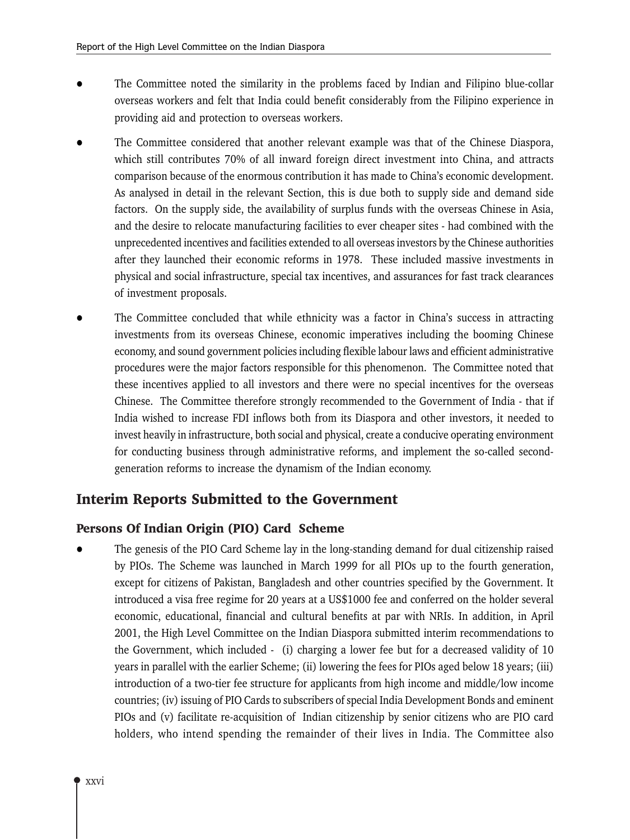- The Committee noted the similarity in the problems faced by Indian and Filipino blue-collar overseas workers and felt that India could benefit considerably from the Filipino experience in providing aid and protection to overseas workers.
- The Committee considered that another relevant example was that of the Chinese Diaspora, which still contributes 70% of all inward foreign direct investment into China, and attracts comparison because of the enormous contribution it has made to China's economic development. As analysed in detail in the relevant Section, this is due both to supply side and demand side factors. On the supply side, the availability of surplus funds with the overseas Chinese in Asia, and the desire to relocate manufacturing facilities to ever cheaper sites - had combined with the unprecedented incentives and facilities extended to all overseas investors by the Chinese authorities after they launched their economic reforms in 1978. These included massive investments in physical and social infrastructure, special tax incentives, and assurances for fast track clearances of investment proposals.
- The Committee concluded that while ethnicity was a factor in China's success in attracting investments from its overseas Chinese, economic imperatives including the booming Chinese economy, and sound government policies including flexible labour laws and efficient administrative procedures were the major factors responsible for this phenomenon. The Committee noted that these incentives applied to all investors and there were no special incentives for the overseas Chinese. The Committee therefore strongly recommended to the Government of India - that if India wished to increase FDI inflows both from its Diaspora and other investors, it needed to invest heavily in infrastructure, both social and physical, create a conducive operating environment for conducting business through administrative reforms, and implement the so-called secondgeneration reforms to increase the dynamism of the Indian economy.

### **Interim Reports Submitted to the Government**

#### Persons Of Indian Origin (PIO) Card Scheme

The genesis of the PIO Card Scheme lay in the long-standing demand for dual citizenship raised by PIOs. The Scheme was launched in March 1999 for all PIOs up to the fourth generation, except for citizens of Pakistan, Bangladesh and other countries specified by the Government. It introduced a visa free regime for 20 years at a US\$1000 fee and conferred on the holder several economic, educational, financial and cultural benefits at par with NRIs. In addition, in April 2001, the High Level Committee on the Indian Diaspora submitted interim recommendations to the Government, which included - (i) charging a lower fee but for a decreased validity of 10 years in parallel with the earlier Scheme; (ii) lowering the fees for PIOs aged below 18 years; (iii) introduction of a two-tier fee structure for applicants from high income and middle/low income countries; (iv) issuing of PIO Cards to subscribers of special India Development Bonds and eminent PIOs and (v) facilitate re-acquisition of Indian citizenship by senior citizens who are PIO card holders, who intend spending the remainder of their lives in India. The Committee also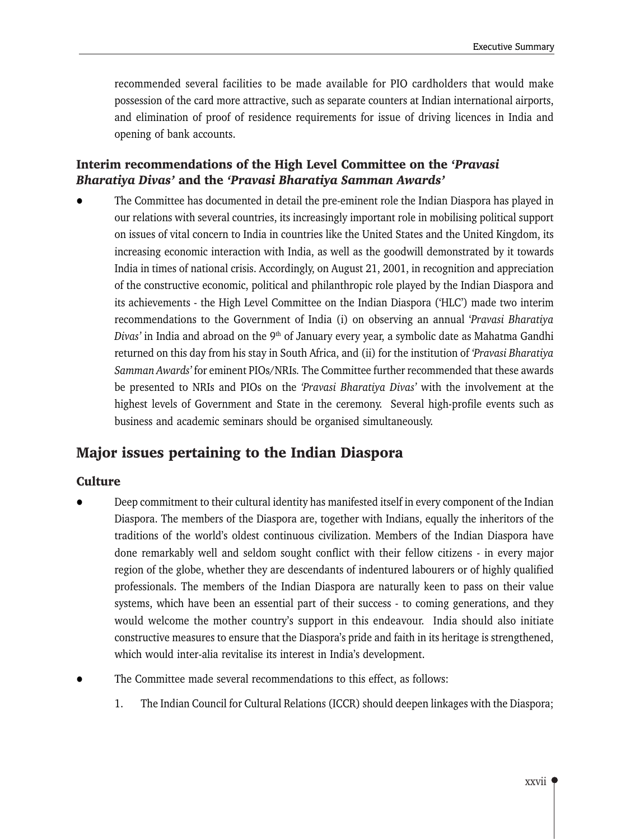recommended several facilities to be made available for PIO cardholders that would make possession of the card more attractive, such as separate counters at Indian international airports, and elimination of proof of residence requirements for issue of driving licences in India and opening of bank accounts.

### Interim recommendations of the High Level Committee on the 'Pravasi **Bharatiya Divas' and the 'Pravasi Bharatiya Samman Awards'**

The Committee has documented in detail the pre-eminent role the Indian Diaspora has played in our relations with several countries, its increasingly important role in mobilising political support on issues of vital concern to India in countries like the United States and the United Kingdom, its increasing economic interaction with India, as well as the goodwill demonstrated by it towards India in times of national crisis. Accordingly, on August 21, 2001, in recognition and appreciation of the constructive economic, political and philanthropic role played by the Indian Diaspora and its achievements - the High Level Committee on the Indian Diaspora ('HLC') made two interim recommendations to the Government of India (i) on observing an annual 'Pravasi Bharatiya *Divas'* in India and abroad on the  $9<sup>th</sup>$  of January every year, a symbolic date as Mahatma Gandhi returned on this day from his stay in South Africa, and (ii) for the institution of 'Pravasi Bharatiya Samman Awards' for eminent PIOs/NRIs. The Committee further recommended that these awards be presented to NRIs and PIOs on the 'Pravasi Bharatiya Divas' with the involvement at the highest levels of Government and State in the ceremony. Several high-profile events such as business and academic seminars should be organised simultaneously.

# **Major issues pertaining to the Indian Diaspora**

#### **Culture**

- Deep commitment to their cultural identity has manifested itself in every component of the Indian Diaspora. The members of the Diaspora are, together with Indians, equally the inheritors of the traditions of the world's oldest continuous civilization. Members of the Indian Diaspora have done remarkably well and seldom sought conflict with their fellow citizens - in every major region of the globe, whether they are descendants of indentured labourers or of highly qualified professionals. The members of the Indian Diaspora are naturally keen to pass on their value systems, which have been an essential part of their success - to coming generations, and they would welcome the mother country's support in this endeavour. India should also initiate constructive measures to ensure that the Diaspora's pride and faith in its heritage is strengthened, which would inter-alia revitalise its interest in India's development.
- The Committee made several recommendations to this effect, as follows:
	- The Indian Council for Cultural Relations (ICCR) should deepen linkages with the Diaspora; 1.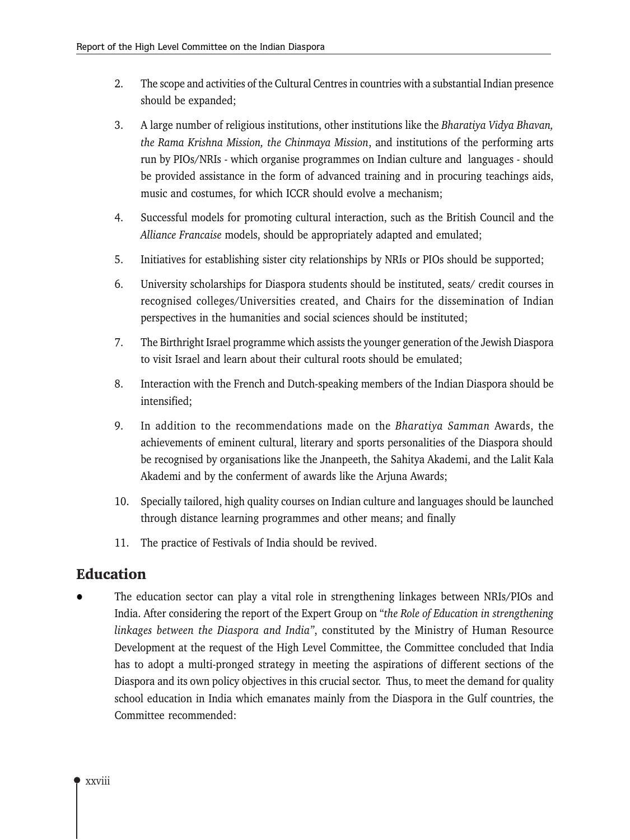- $2.$ The scope and activities of the Cultural Centres in countries with a substantial Indian presence should be expanded;
- 3. A large number of religious institutions, other institutions like the Bharatiya Vidya Bhavan, the Rama Krishna Mission, the Chinmaya Mission, and institutions of the performing arts run by PIOs/NRIs - which organise programmes on Indian culture and languages - should be provided assistance in the form of advanced training and in procuring teachings aids, music and costumes, for which ICCR should evolve a mechanism;
- 4. Successful models for promoting cultural interaction, such as the British Council and the Alliance Francaise models, should be appropriately adapted and emulated;
- 5. Initiatives for establishing sister city relationships by NRIs or PIOs should be supported;
- 6. University scholarships for Diaspora students should be instituted, seats/ credit courses in recognised colleges/Universities created, and Chairs for the dissemination of Indian perspectives in the humanities and social sciences should be instituted;
- 7. The Birthright Israel programme which assists the younger generation of the Jewish Diaspora to visit Israel and learn about their cultural roots should be emulated;
- 8. Interaction with the French and Dutch-speaking members of the Indian Diaspora should be intensified:
- 9. In addition to the recommendations made on the Bharatiya Samman Awards, the achievements of eminent cultural, literary and sports personalities of the Diaspora should be recognised by organisations like the Jnanpeeth, the Sahitya Akademi, and the Lalit Kala Akademi and by the conferment of awards like the Arjuna Awards;
- 10. Specially tailored, high quality courses on Indian culture and languages should be launched through distance learning programmes and other means; and finally
- 11. The practice of Festivals of India should be revived.

# **Education**

The education sector can play a vital role in strengthening linkages between NRIs/PIOs and India. After considering the report of the Expert Group on "the Role of Education in strengthening linkages between the Diaspora and India", constituted by the Ministry of Human Resource Development at the request of the High Level Committee, the Committee concluded that India has to adopt a multi-pronged strategy in meeting the aspirations of different sections of the Diaspora and its own policy objectives in this crucial sector. Thus, to meet the demand for quality school education in India which emanates mainly from the Diaspora in the Gulf countries, the Committee recommended: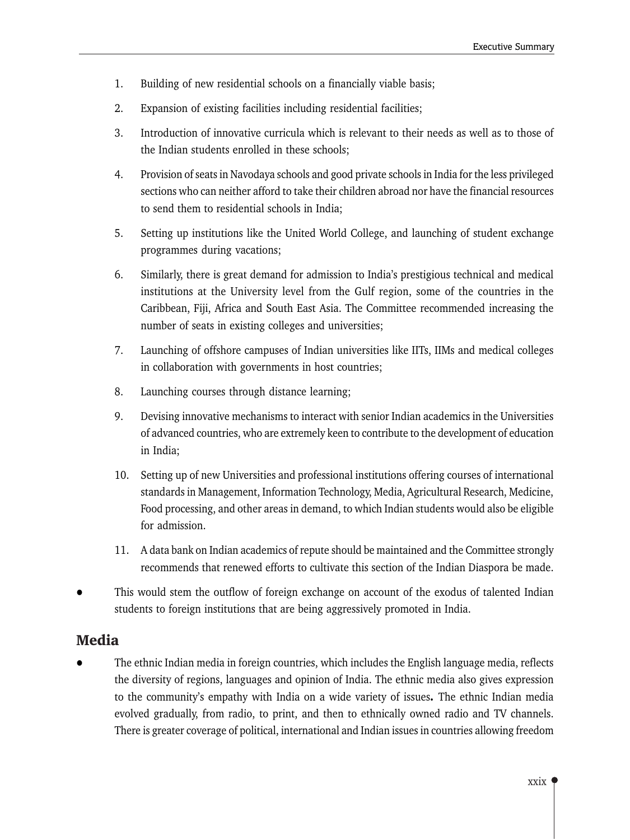- $1.$ Building of new residential schools on a financially viable basis;
- $2.$ Expansion of existing facilities including residential facilities;
- 3. Introduction of innovative curricula which is relevant to their needs as well as to those of the Indian students enrolled in these schools;
- $4.$ Provision of seats in Navodaya schools and good private schools in India for the less privileged sections who can neither afford to take their children abroad nor have the financial resources to send them to residential schools in India:
- 5. Setting up institutions like the United World College, and launching of student exchange programmes during vacations;
- 6. Similarly, there is great demand for admission to India's prestigious technical and medical institutions at the University level from the Gulf region, some of the countries in the Caribbean, Fiji, Africa and South East Asia. The Committee recommended increasing the number of seats in existing colleges and universities;
- 7. Launching of offshore campuses of Indian universities like IITs, IIMs and medical colleges in collaboration with governments in host countries;
- 8. Launching courses through distance learning;
- 9. Devising innovative mechanisms to interact with senior Indian academics in the Universities of advanced countries, who are extremely keen to contribute to the development of education in India;
- 10. Setting up of new Universities and professional institutions offering courses of international standards in Management, Information Technology, Media, Agricultural Research, Medicine, Food processing, and other areas in demand, to which Indian students would also be eligible for admission.
- 11. A data bank on Indian academics of repute should be maintained and the Committee strongly recommends that renewed efforts to cultivate this section of the Indian Diaspora be made.
- This would stem the outflow of foreign exchange on account of the exodus of talented Indian students to foreign institutions that are being aggressively promoted in India.

# **Media**

The ethnic Indian media in foreign countries, which includes the English language media, reflects the diversity of regions, languages and opinion of India. The ethnic media also gives expression to the community's empathy with India on a wide variety of issues. The ethnic Indian media evolved gradually, from radio, to print, and then to ethnically owned radio and TV channels. There is greater coverage of political, international and Indian issues in countries allowing freedom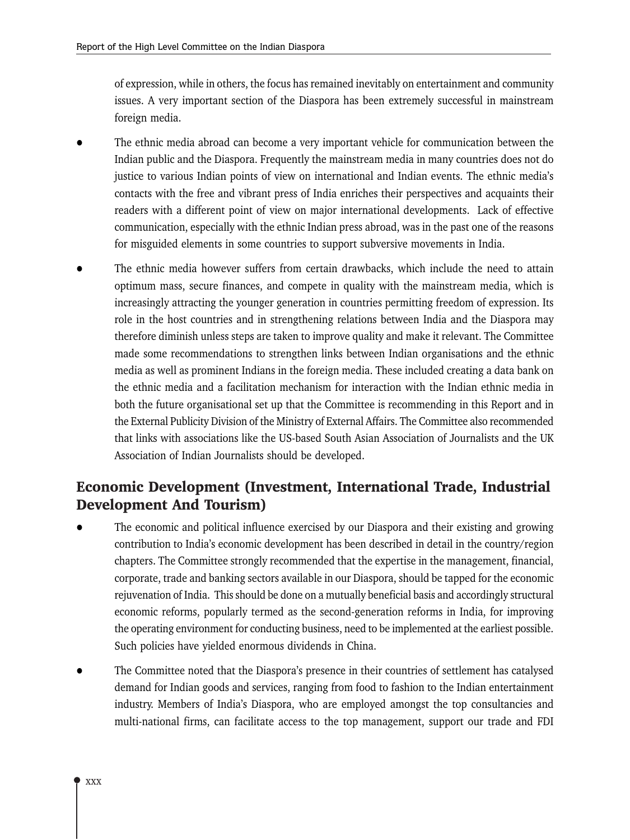of expression, while in others, the focus has remained inevitably on entertainment and community issues. A very important section of the Diaspora has been extremely successful in mainstream foreign media.

- The ethnic media abroad can become a very important vehicle for communication between the Indian public and the Diaspora. Frequently the mainstream media in many countries does not do justice to various Indian points of view on international and Indian events. The ethnic media's contacts with the free and vibrant press of India enriches their perspectives and acquaints their readers with a different point of view on major international developments. Lack of effective communication, especially with the ethnic Indian press abroad, was in the past one of the reasons for misguided elements in some countries to support subversive movements in India.
- The ethnic media however suffers from certain drawbacks, which include the need to attain optimum mass, secure finances, and compete in quality with the mainstream media, which is increasingly attracting the younger generation in countries permitting freedom of expression. Its role in the host countries and in strengthening relations between India and the Diaspora may therefore diminish unless steps are taken to improve quality and make it relevant. The Committee made some recommendations to strengthen links between Indian organisations and the ethnic media as well as prominent Indians in the foreign media. These included creating a data bank on the ethnic media and a facilitation mechanism for interaction with the Indian ethnic media in both the future organisational set up that the Committee is recommending in this Report and in the External Publicity Division of the Ministry of External Affairs. The Committee also recommended that links with associations like the US-based South Asian Association of Journalists and the UK Association of Indian Journalists should be developed.

# Economic Development (Investment, International Trade, Industrial **Development And Tourism)**

- The economic and political influence exercised by our Diaspora and their existing and growing contribution to India's economic development has been described in detail in the country/region chapters. The Committee strongly recommended that the expertise in the management, financial, corporate, trade and banking sectors available in our Diaspora, should be tapped for the economic rejuvenation of India. This should be done on a mutually beneficial basis and accordingly structural economic reforms, popularly termed as the second-generation reforms in India, for improving the operating environment for conducting business, need to be implemented at the earliest possible. Such policies have yielded enormous dividends in China.
- The Committee noted that the Diaspora's presence in their countries of settlement has catalysed demand for Indian goods and services, ranging from food to fashion to the Indian entertainment industry. Members of India's Diaspora, who are employed amongst the top consultancies and multi-national firms, can facilitate access to the top management, support our trade and FDI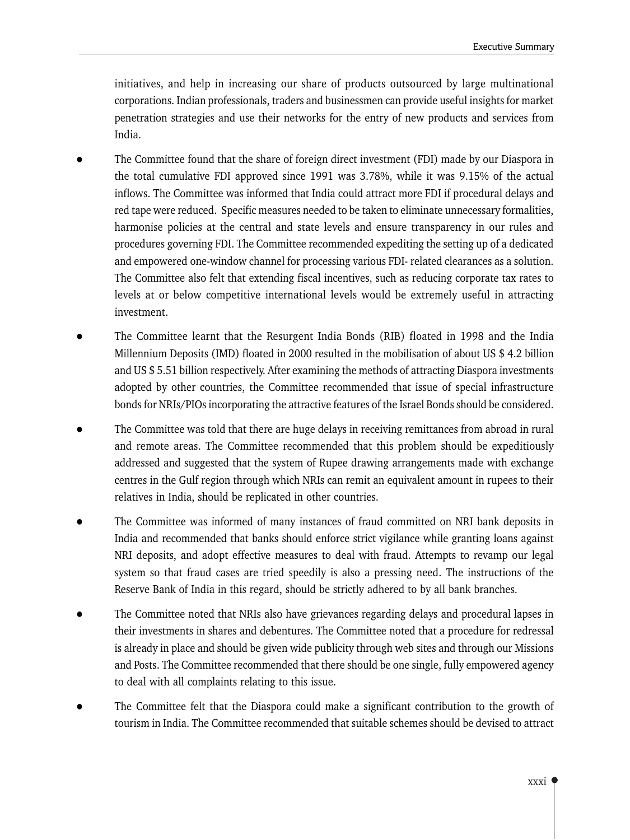initiatives, and help in increasing our share of products outsourced by large multinational corporations. Indian professionals, traders and businessmen can provide useful insights for market penetration strategies and use their networks for the entry of new products and services from India.

- The Committee found that the share of foreign direct investment (FDI) made by our Diaspora in the total cumulative FDI approved since 1991 was 3.78%, while it was 9.15% of the actual inflows. The Committee was informed that India could attract more FDI if procedural delays and red tape were reduced. Specific measures needed to be taken to eliminate unnecessary formalities, harmonise policies at the central and state levels and ensure transparency in our rules and procedures governing FDI. The Committee recommended expediting the setting up of a dedicated and empowered one-window channel for processing various FDI- related clearances as a solution. The Committee also felt that extending fiscal incentives, such as reducing corporate tax rates to levels at or below competitive international levels would be extremely useful in attracting investment.
- The Committee learnt that the Resurgent India Bonds (RIB) floated in 1998 and the India Millennium Deposits (IMD) floated in 2000 resulted in the mobilisation of about US \$4.2 billion and US \$5.51 billion respectively. After examining the methods of attracting Diaspora investments adopted by other countries, the Committee recommended that issue of special infrastructure bonds for NRIs/PIOs incorporating the attractive features of the Israel Bonds should be considered.
- The Committee was told that there are huge delays in receiving remittances from abroad in rural and remote areas. The Committee recommended that this problem should be expeditiously addressed and suggested that the system of Rupee drawing arrangements made with exchange centres in the Gulf region through which NRIs can remit an equivalent amount in rupees to their relatives in India, should be replicated in other countries.
- The Committee was informed of many instances of fraud committed on NRI bank deposits in India and recommended that banks should enforce strict vigilance while granting loans against NRI deposits, and adopt effective measures to deal with fraud. Attempts to revamp our legal system so that fraud cases are tried speedily is also a pressing need. The instructions of the Reserve Bank of India in this regard, should be strictly adhered to by all bank branches.
- The Committee noted that NRIs also have grievances regarding delays and procedural lapses in their investments in shares and debentures. The Committee noted that a procedure for redressal is already in place and should be given wide publicity through web sites and through our Missions and Posts. The Committee recommended that there should be one single, fully empowered agency to deal with all complaints relating to this issue.
- The Committee felt that the Diaspora could make a significant contribution to the growth of tourism in India. The Committee recommended that suitable schemes should be devised to attract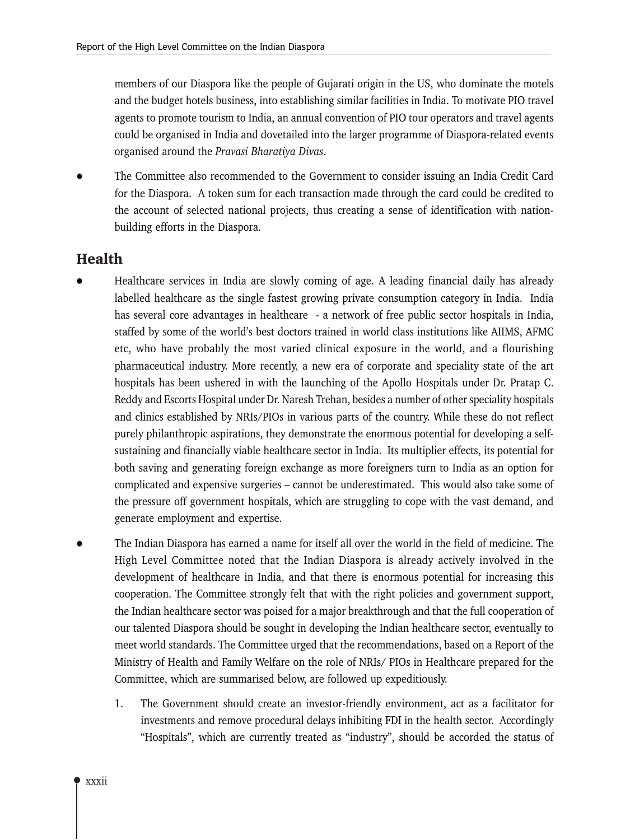members of our Diaspora like the people of Gujarati origin in the US, who dominate the motels and the budget hotels business, into establishing similar facilities in India. To motivate PIO travel agents to promote tourism to India, an annual convention of PIO tour operators and travel agents could be organised in India and dovetailed into the larger programme of Diaspora-related events organised around the Pravasi Bharatiya Divas.

The Committee also recommended to the Government to consider issuing an India Credit Card for the Diaspora. A token sum for each transaction made through the card could be credited to the account of selected national projects, thus creating a sense of identification with nationbuilding efforts in the Diaspora.

# **Health**

- Healthcare services in India are slowly coming of age. A leading financial daily has already labelled healthcare as the single fastest growing private consumption category in India. India has several core advantages in healthcare - a network of free public sector hospitals in India, staffed by some of the world's best doctors trained in world class institutions like AIIMS, AFMC etc, who have probably the most varied clinical exposure in the world, and a flourishing pharmaceutical industry. More recently, a new era of corporate and speciality state of the art hospitals has been ushered in with the launching of the Apollo Hospitals under Dr. Pratap C. Reddy and Escorts Hospital under Dr. Naresh Trehan, besides a number of other speciality hospitals and clinics established by NRIs/PIOs in various parts of the country. While these do not reflect purely philanthropic aspirations, they demonstrate the enormous potential for developing a selfsustaining and financially viable healthcare sector in India. Its multiplier effects, its potential for both saving and generating foreign exchange as more foreigners turn to India as an option for complicated and expensive surgeries – cannot be underestimated. This would also take some of the pressure off government hospitals, which are struggling to cope with the vast demand, and generate employment and expertise.
- The Indian Diaspora has earned a name for itself all over the world in the field of medicine. The High Level Committee noted that the Indian Diaspora is already actively involved in the development of healthcare in India, and that there is enormous potential for increasing this cooperation. The Committee strongly felt that with the right policies and government support, the Indian healthcare sector was poised for a major breakthrough and that the full cooperation of our talented Diaspora should be sought in developing the Indian healthcare sector, eventually to meet world standards. The Committee urged that the recommendations, based on a Report of the Ministry of Health and Family Welfare on the role of NRIs/PIOs in Healthcare prepared for the Committee, which are summarised below, are followed up expeditiously.
	- 1. The Government should create an investor-friendly environment, act as a facilitator for investments and remove procedural delays inhibiting FDI in the health sector. Accordingly "Hospitals", which are currently treated as "industry", should be accorded the status of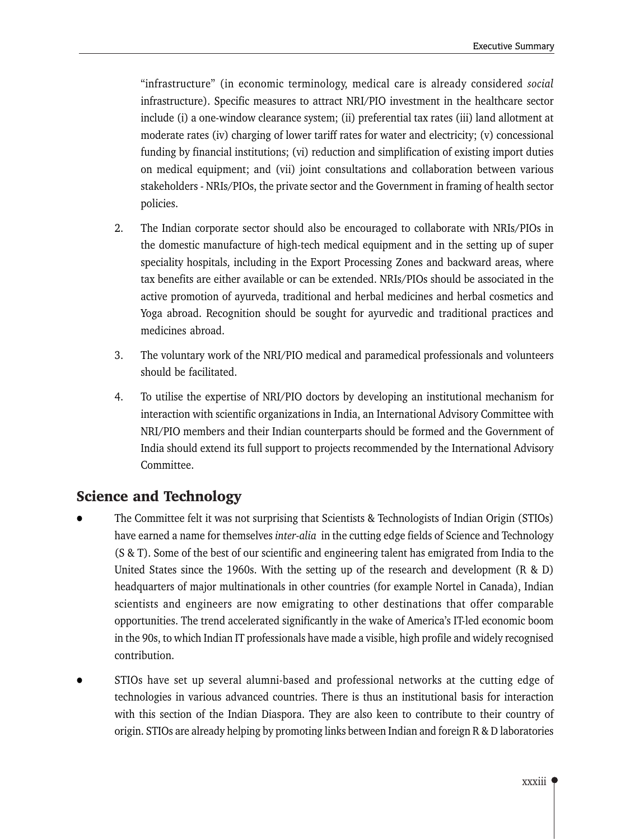"infrastructure" (in economic terminology, medical care is already considered social infrastructure). Specific measures to attract NRI/PIO investment in the healthcare sector include (i) a one-window clearance system; (ii) preferential tax rates (iii) land allotment at moderate rates (iv) charging of lower tariff rates for water and electricity; (v) concessional funding by financial institutions; (vi) reduction and simplification of existing import duties on medical equipment; and (vii) joint consultations and collaboration between various stakeholders - NRIs/PIOs, the private sector and the Government in framing of health sector policies.

- 2. The Indian corporate sector should also be encouraged to collaborate with NRIs/PIOs in the domestic manufacture of high-tech medical equipment and in the setting up of super speciality hospitals, including in the Export Processing Zones and backward areas, where tax benefits are either available or can be extended. NRIs/PIOs should be associated in the active promotion of ayurveda, traditional and herbal medicines and herbal cosmetics and Yoga abroad. Recognition should be sought for ayurvedic and traditional practices and medicines abroad.
- 3. The voluntary work of the NRI/PIO medical and paramedical professionals and volunteers should be facilitated.
- $4.$ To utilise the expertise of NRI/PIO doctors by developing an institutional mechanism for interaction with scientific organizations in India, an International Advisory Committee with NRI/PIO members and their Indian counterparts should be formed and the Government of India should extend its full support to projects recommended by the International Advisory Committee.

# **Science and Technology**

- The Committee felt it was not surprising that Scientists & Technologists of Indian Origin (STIOs) have earned a name for themselves inter-alia in the cutting edge fields of Science and Technology (S & T). Some of the best of our scientific and engineering talent has emigrated from India to the United States since the 1960s. With the setting up of the research and development  $(R \& D)$ headquarters of major multinationals in other countries (for example Nortel in Canada), Indian scientists and engineers are now emigrating to other destinations that offer comparable opportunities. The trend accelerated significantly in the wake of America's IT-led economic boom in the 90s, to which Indian IT professionals have made a visible, high profile and widely recognised contribution.
- STIOs have set up several alumni-based and professional networks at the cutting edge of technologies in various advanced countries. There is thus an institutional basis for interaction with this section of the Indian Diaspora. They are also keen to contribute to their country of origin. STIOs are already helping by promoting links between Indian and foreign R & D laboratories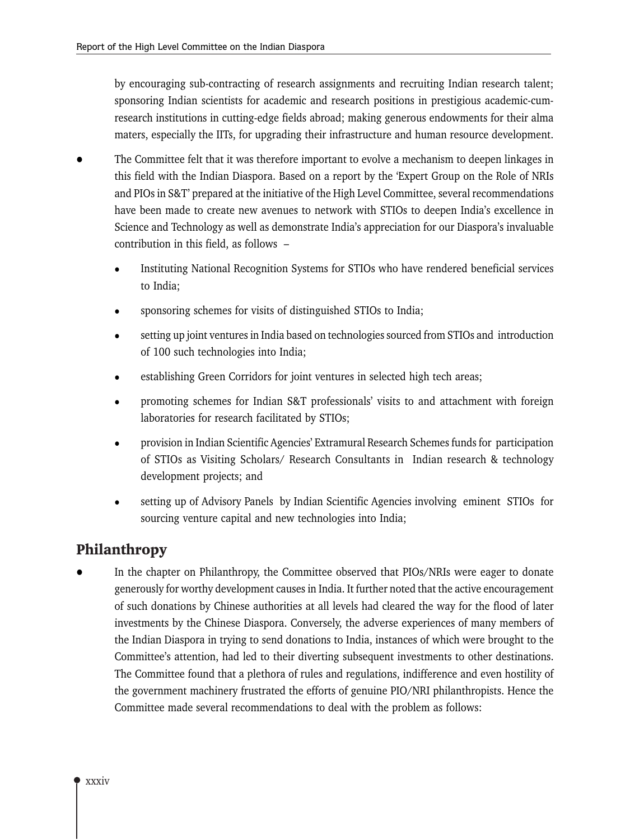by encouraging sub-contracting of research assignments and recruiting Indian research talent; sponsoring Indian scientists for academic and research positions in prestigious academic-cumresearch institutions in cutting-edge fields abroad; making generous endowments for their alma maters, especially the IITs, for upgrading their infrastructure and human resource development.

- The Committee felt that it was therefore important to evolve a mechanism to deepen linkages in this field with the Indian Diaspora. Based on a report by the 'Expert Group on the Role of NRIs and PIOs in S&T' prepared at the initiative of the High Level Committee, several recommendations have been made to create new avenues to network with STIOs to deepen India's excellence in Science and Technology as well as demonstrate India's appreciation for our Diaspora's invaluable contribution in this field, as follows -
	- Instituting National Recognition Systems for STIOs who have rendered beneficial services to India:
	- sponsoring schemes for visits of distinguished STIOs to India;
	- setting up joint ventures in India based on technologies sourced from STIOs and introduction of 100 such technologies into India;
	- establishing Green Corridors for joint ventures in selected high tech areas;
	- promoting schemes for Indian S&T professionals' visits to and attachment with foreign laboratories for research facilitated by STIOs;
	- provision in Indian Scientific Agencies' Extramural Research Schemes funds for participation of STIOs as Visiting Scholars/ Research Consultants in Indian research & technology development projects; and
	- setting up of Advisory Panels by Indian Scientific Agencies involving eminent STIOs for sourcing venture capital and new technologies into India;

# **Philanthropy**

In the chapter on Philanthropy, the Committee observed that PIOs/NRIs were eager to donate generously for worthy development causes in India. It further noted that the active encouragement of such donations by Chinese authorities at all levels had cleared the way for the flood of later investments by the Chinese Diaspora. Conversely, the adverse experiences of many members of the Indian Diaspora in trying to send donations to India, instances of which were brought to the Committee's attention, had led to their diverting subsequent investments to other destinations. The Committee found that a plethora of rules and regulations, indifference and even hostility of the government machinery frustrated the efforts of genuine PIO/NRI philanthropists. Hence the Committee made several recommendations to deal with the problem as follows: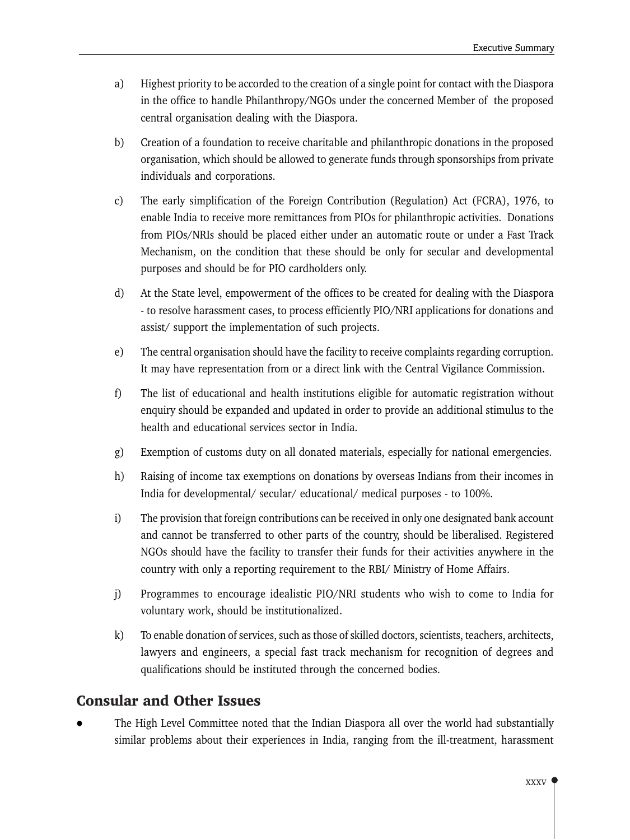- Highest priority to be accorded to the creation of a single point for contact with the Diaspora a) in the office to handle Philanthropy/NGOs under the concerned Member of the proposed central organisation dealing with the Diaspora.
- $b)$ Creation of a foundation to receive charitable and philanthropic donations in the proposed organisation, which should be allowed to generate funds through sponsorships from private individuals and corporations.
- $\mathbf{c}$ ) The early simplification of the Foreign Contribution (Regulation) Act (FCRA), 1976, to enable India to receive more remittances from PIOs for philanthropic activities. Donations from PIOs/NRIs should be placed either under an automatic route or under a Fast Track Mechanism, on the condition that these should be only for secular and developmental purposes and should be for PIO cardholders only.
- $\rm d$ At the State level, empowerment of the offices to be created for dealing with the Diaspora - to resolve harassment cases, to process efficiently PIO/NRI applications for donations and assist/ support the implementation of such projects.
- The central organisation should have the facility to receive complaints regarding corruption.  $e)$ It may have representation from or a direct link with the Central Vigilance Commission.
- $f$ The list of educational and health institutions eligible for automatic registration without enquiry should be expanded and updated in order to provide an additional stimulus to the health and educational services sector in India.
- Exemption of customs duty on all donated materials, especially for national emergencies.  $\mathbf{g}$
- h) Raising of income tax exemptions on donations by overseas Indians from their incomes in India for developmental/ secular/ educational/ medical purposes - to 100%.
- $i)$ The provision that foreign contributions can be received in only one designated bank account and cannot be transferred to other parts of the country, should be liberalised. Registered NGOs should have the facility to transfer their funds for their activities anywhere in the country with only a reporting requirement to the RBI/ Ministry of Home Affairs.
- $j$ ) Programmes to encourage idealistic PIO/NRI students who wish to come to India for voluntary work, should be institutionalized.
- To enable donation of services, such as those of skilled doctors, scientists, teachers, architects,  $\bf k$ lawyers and engineers, a special fast track mechanism for recognition of degrees and qualifications should be instituted through the concerned bodies.

# **Consular and Other Issues**

The High Level Committee noted that the Indian Diaspora all over the world had substantially similar problems about their experiences in India, ranging from the ill-treatment, harassment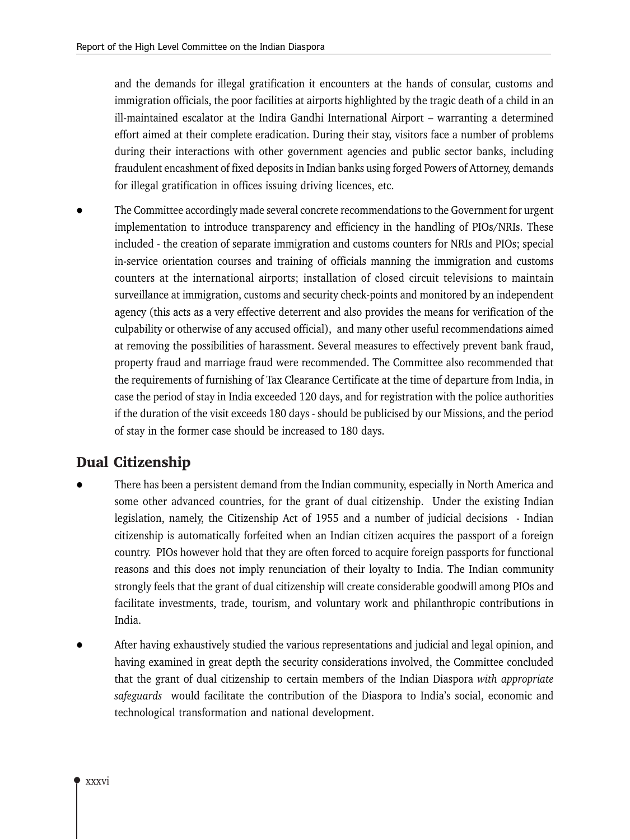and the demands for illegal gratification it encounters at the hands of consular, customs and immigration officials, the poor facilities at airports highlighted by the tragic death of a child in an ill-maintained escalator at the Indira Gandhi International Airport – warranting a determined effort aimed at their complete eradication. During their stay, visitors face a number of problems during their interactions with other government agencies and public sector banks, including fraudulent encashment of fixed deposits in Indian banks using forged Powers of Attorney, demands for illegal gratification in offices issuing driving licences, etc.

The Committee accordingly made several concrete recommendations to the Government for urgent implementation to introduce transparency and efficiency in the handling of PIOs/NRIs. These included - the creation of separate immigration and customs counters for NRIs and PIOs; special in-service orientation courses and training of officials manning the immigration and customs counters at the international airports; installation of closed circuit televisions to maintain surveillance at immigration, customs and security check-points and monitored by an independent agency (this acts as a very effective deterrent and also provides the means for verification of the culpability or otherwise of any accused official), and many other useful recommendations aimed at removing the possibilities of harassment. Several measures to effectively prevent bank fraud, property fraud and marriage fraud were recommended. The Committee also recommended that the requirements of furnishing of Tax Clearance Certificate at the time of departure from India, in case the period of stay in India exceeded 120 days, and for registration with the police authorities if the duration of the visit exceeds 180 days - should be publicised by our Missions, and the period of stay in the former case should be increased to 180 days.

# **Dual Citizenship**

- There has been a persistent demand from the Indian community, especially in North America and some other advanced countries, for the grant of dual citizenship. Under the existing Indian legislation, namely, the Citizenship Act of 1955 and a number of judicial decisions - Indian citizenship is automatically forfeited when an Indian citizen acquires the passport of a foreign country. PIOs however hold that they are often forced to acquire foreign passports for functional reasons and this does not imply renunciation of their loyalty to India. The Indian community strongly feels that the grant of dual citizenship will create considerable goodwill among PIOs and facilitate investments, trade, tourism, and voluntary work and philanthropic contributions in India.
- After having exhaustively studied the various representations and judicial and legal opinion, and having examined in great depth the security considerations involved, the Committee concluded that the grant of dual citizenship to certain members of the Indian Diaspora with appropriate safeguards would facilitate the contribution of the Diaspora to India's social, economic and technological transformation and national development.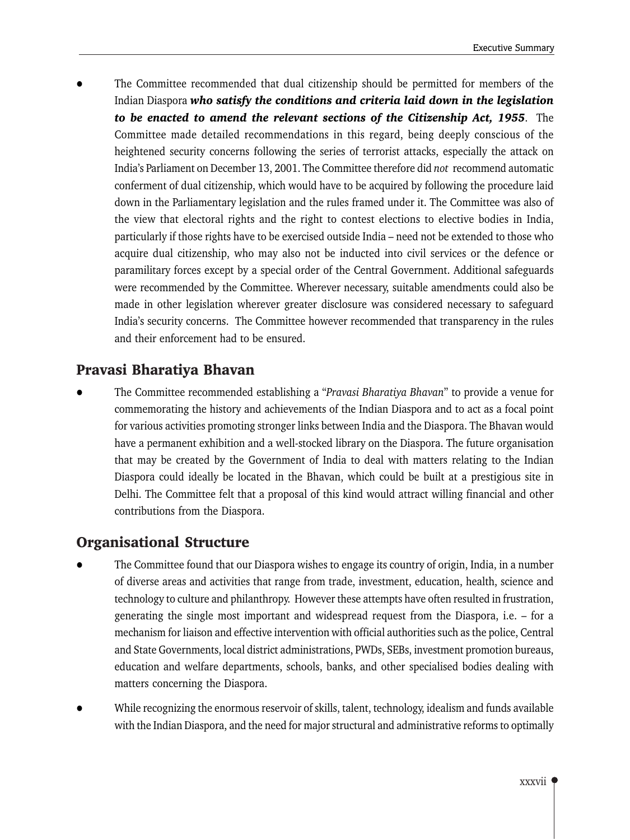The Committee recommended that dual citizenship should be permitted for members of the Indian Diaspora who satisfy the conditions and criteria laid down in the legislation to be enacted to amend the relevant sections of the Citizenship Act, 1955. The Committee made detailed recommendations in this regard, being deeply conscious of the heightened security concerns following the series of terrorist attacks, especially the attack on India's Parliament on December 13, 2001. The Committee therefore did not recommend automatic conferment of dual citizenship, which would have to be acquired by following the procedure laid down in the Parliamentary legislation and the rules framed under it. The Committee was also of the view that electoral rights and the right to contest elections to elective bodies in India, particularly if those rights have to be exercised outside India – need not be extended to those who acquire dual citizenship, who may also not be inducted into civil services or the defence or paramilitary forces except by a special order of the Central Government. Additional safeguards were recommended by the Committee. Wherever necessary, suitable amendments could also be made in other legislation wherever greater disclosure was considered necessary to safeguard India's security concerns. The Committee however recommended that transparency in the rules and their enforcement had to be ensured.

# Pravasi Bharatiya Bhavan

The Committee recommended establishing a "Pravasi Bharatiya Bhavan" to provide a venue for commemorating the history and achievements of the Indian Diaspora and to act as a focal point for various activities promoting stronger links between India and the Diaspora. The Bhavan would have a permanent exhibition and a well-stocked library on the Diaspora. The future organisation that may be created by the Government of India to deal with matters relating to the Indian Diaspora could ideally be located in the Bhavan, which could be built at a prestigious site in Delhi. The Committee felt that a proposal of this kind would attract willing financial and other contributions from the Diaspora.

# **Organisational Structure**

- The Committee found that our Diaspora wishes to engage its country of origin, India, in a number of diverse areas and activities that range from trade, investment, education, health, science and technology to culture and philanthropy. However these attempts have often resulted in frustration, generating the single most important and widespread request from the Diaspora, i.e. – for a mechanism for liaison and effective intervention with official authorities such as the police, Central and State Governments, local district administrations, PWDs, SEBs, investment promotion bureaus, education and welfare departments, schools, banks, and other specialised bodies dealing with matters concerning the Diaspora.
- While recognizing the enormous reservoir of skills, talent, technology, idealism and funds available with the Indian Diaspora, and the need for major structural and administrative reforms to optimally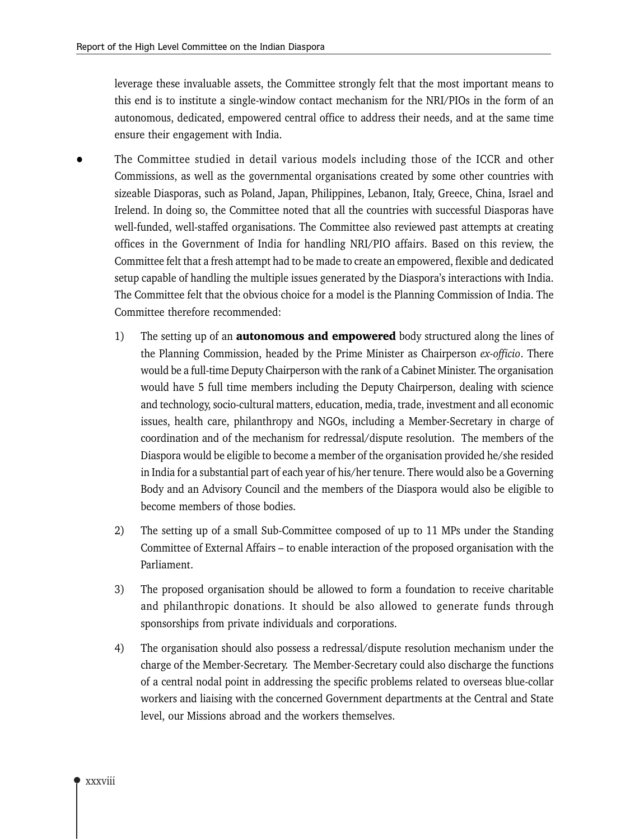leverage these invaluable assets, the Committee strongly felt that the most important means to this end is to institute a single-window contact mechanism for the NRI/PIOs in the form of an autonomous, dedicated, empowered central office to address their needs, and at the same time ensure their engagement with India.

- The Committee studied in detail various models including those of the ICCR and other Commissions, as well as the governmental organisations created by some other countries with sizeable Diasporas, such as Poland, Japan, Philippines, Lebanon, Italy, Greece, China, Israel and Irelend. In doing so, the Committee noted that all the countries with successful Diasporas have well-funded, well-staffed organisations. The Committee also reviewed past attempts at creating offices in the Government of India for handling NRI/PIO affairs. Based on this review, the Committee felt that a fresh attempt had to be made to create an empowered, flexible and dedicated setup capable of handling the multiple issues generated by the Diaspora's interactions with India. The Committee felt that the obvious choice for a model is the Planning Commission of India. The Committee therefore recommended:
	- $1)$ The setting up of an **autonomous and empowered** body structured along the lines of the Planning Commission, headed by the Prime Minister as Chairperson ex-officio. There would be a full-time Deputy Chairperson with the rank of a Cabinet Minister. The organisation would have 5 full time members including the Deputy Chairperson, dealing with science and technology, socio-cultural matters, education, media, trade, investment and all economic issues, health care, philanthropy and NGOs, including a Member-Secretary in charge of coordination and of the mechanism for redressal/dispute resolution. The members of the Diaspora would be eligible to become a member of the organisation provided he/she resided in India for a substantial part of each year of his/her tenure. There would also be a Governing Body and an Advisory Council and the members of the Diaspora would also be eligible to become members of those bodies.
	- $(2)$ The setting up of a small Sub-Committee composed of up to 11 MPs under the Standing Committee of External Affairs - to enable interaction of the proposed organisation with the Parliament.
	- 3) The proposed organisation should be allowed to form a foundation to receive charitable and philanthropic donations. It should be also allowed to generate funds through sponsorships from private individuals and corporations.
	- 4) The organisation should also possess a redressal/dispute resolution mechanism under the charge of the Member-Secretary. The Member-Secretary could also discharge the functions of a central nodal point in addressing the specific problems related to overseas blue-collar workers and liaising with the concerned Government departments at the Central and State level, our Missions abroad and the workers themselves.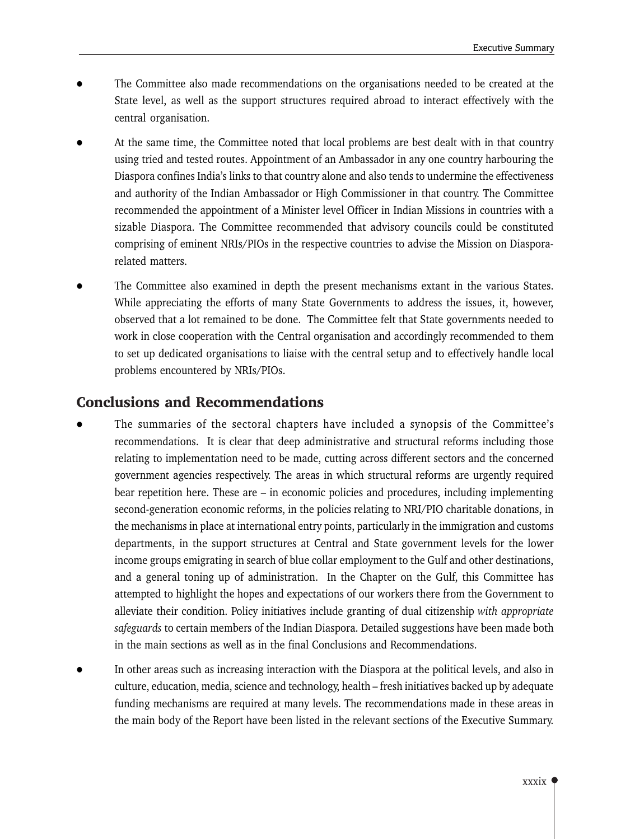- The Committee also made recommendations on the organisations needed to be created at the State level, as well as the support structures required abroad to interact effectively with the central organisation.
- At the same time, the Committee noted that local problems are best dealt with in that country using tried and tested routes. Appointment of an Ambassador in any one country harbouring the Diaspora confines India's links to that country alone and also tends to undermine the effectiveness and authority of the Indian Ambassador or High Commissioner in that country. The Committee recommended the appointment of a Minister level Officer in Indian Missions in countries with a sizable Diaspora. The Committee recommended that advisory councils could be constituted comprising of eminent NRIs/PIOs in the respective countries to advise the Mission on Diasporarelated matters.
- The Committee also examined in depth the present mechanisms extant in the various States. While appreciating the efforts of many State Governments to address the issues, it, however, observed that a lot remained to be done. The Committee felt that State governments needed to work in close cooperation with the Central organisation and accordingly recommended to them to set up dedicated organisations to liaise with the central setup and to effectively handle local problems encountered by NRIs/PIOs.

# **Conclusions and Recommendations**

- The summaries of the sectoral chapters have included a synopsis of the Committee's recommendations. It is clear that deep administrative and structural reforms including those relating to implementation need to be made, cutting across different sectors and the concerned government agencies respectively. The areas in which structural reforms are urgently required bear repetition here. These are  $-$  in economic policies and procedures, including implementing second-generation economic reforms, in the policies relating to NRI/PIO charitable donations, in the mechanisms in place at international entry points, particularly in the immigration and customs departments, in the support structures at Central and State government levels for the lower income groups emigrating in search of blue collar employment to the Gulf and other destinations, and a general toning up of administration. In the Chapter on the Gulf, this Committee has attempted to highlight the hopes and expectations of our workers there from the Government to alleviate their condition. Policy initiatives include granting of dual citizenship with appropriate safeguards to certain members of the Indian Diaspora. Detailed suggestions have been made both in the main sections as well as in the final Conclusions and Recommendations.
- In other areas such as increasing interaction with the Diaspora at the political levels, and also in culture, education, media, science and technology, health – fresh initiatives backed up by adequate funding mechanisms are required at many levels. The recommendations made in these areas in the main body of the Report have been listed in the relevant sections of the Executive Summary.